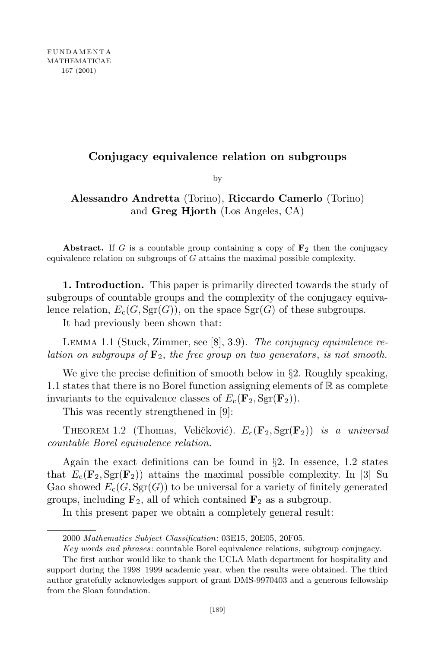## **Conjugacy equivalence relation on subgroups**

by

**Alessandro Andretta** (Torino), **Riccardo Camerlo** (Torino) and **Greg Hjorth** (Los Angeles, CA)

**Abstract.** If *G* is a countable group containing a copy of  $\mathbf{F}_2$  then the conjugacy equivalence relation on subgroups of *G* attains the maximal possible complexity.

**1. Introduction.** This paper is primarily directed towards the study of subgroups of countable groups and the complexity of the conjugacy equivalence relation,  $E_c(G, Sgr(G))$ , on the space  $Sgr(G)$  of these subgroups.

It had previously been shown that:

Lemma 1.1 (Stuck, Zimmer, see [8], 3.9). *The conjugacy equivalence relation on subgroups of* **F**2, *the free group on two generators*, *is not smooth.*

We give the precise definition of smooth below in *§*2. Roughly speaking, 1.1 states that there is no Borel function assigning elements of  $\mathbb R$  as complete invariants to the equivalence classes of  $E_c(\mathbf{F}_2, \text{Sgr}(\mathbf{F}_2)).$ 

This was recently strengthened in [9]:

THEOREM 1.2 (Thomas, Veličković).  $E_c(\mathbf{F}_2, \text{Sgr}(\mathbf{F}_2))$  *is a universal countable Borel equivalence relation.*

Again the exact definitions can be found in *§*2. In essence, 1.2 states that  $E_c(\mathbf{F}_2, \text{Sgr}(\mathbf{F}_2))$  attains the maximal possible complexity. In [3] Su Gao showed  $E_c(G, \text{Sgr}(G))$  to be universal for a variety of finitely generated groups, including  $\mathbf{F}_2$ , all of which contained  $\mathbf{F}_2$  as a subgroup.

In this present paper we obtain a completely general result:

<sup>2000</sup> *Mathematics Subject Classification*: 03E15, 20E05, 20F05.

*Key words and phrases*: countable Borel equivalence relations, subgroup conjugacy.

The first author would like to thank the UCLA Math department for hospitality and support during the 1998–1999 academic year, when the results were obtained. The third author gratefully acknowledges support of grant DMS-9970403 and a generous fellowship from the Sloan foundation.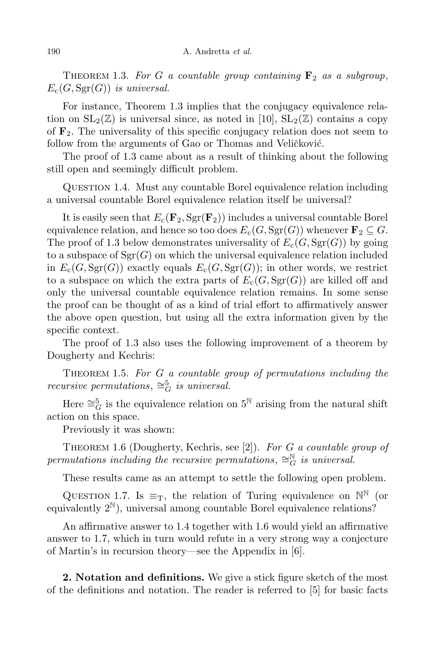THEOREM 1.3. For G a countable group containing  $\mathbf{F}_2$  as a subgroup,  $E_c(G, \text{Sgr}(G))$  *is universal.* 

For instance, Theorem 1.3 implies that the conjugacy equivalence relation on  $SL_2(\mathbb{Z})$  is universal since, as noted in [10],  $SL_2(\mathbb{Z})$  contains a copy of **F**2. The universality of this specific conjugacy relation does not seem to follow from the arguments of Gao or Thomas and Veličković.

The proof of 1.3 came about as a result of thinking about the following still open and seemingly difficult problem.

Question 1.4. Must any countable Borel equivalence relation including a universal countable Borel equivalence relation itself be universal?

It is easily seen that  $E_c(\mathbf{F}_2, \text{Sgr}(\mathbf{F}_2))$  includes a universal countable Borel equivalence relation, and hence so too does  $E_c(G, Sgr(G))$  whenever  $\mathbf{F}_2 \subseteq G$ . The proof of 1.3 below demonstrates universality of  $E_c(G, Sgr(G))$  by going to a subspace of  $Sgr(G)$  on which the universal equivalence relation included in  $E_c(G, Sgr(G))$  exactly equals  $E_c(G, Sgr(G))$ ; in other words, we restrict to a subspace on which the extra parts of  $E_c(G, Sgr(G))$  are killed off and only the universal countable equivalence relation remains. In some sense the proof can be thought of as a kind of trial effort to affirmatively answer the above open question, but using all the extra information given by the specific context.

The proof of 1.3 also uses the following improvement of a theorem by Dougherty and Kechris:

Theorem 1.5. *For G a countable group of permutations including the recursive permutations*,  $\cong_G^5$  *is universal.* 

Here  $\cong_G^5$  is the equivalence relation on  $5^{\mathbb{N}}$  arising from the natural shift action on this space.

Previously it was shown:

Theorem 1.6 (Dougherty, Kechris, see [2]). *For G a countable group of permutations including the recursive permutations*,  $\cong_G^{\mathbb{N}}$  *is universal.* 

These results came as an attempt to settle the following open problem.

QUESTION 1.7. Is  $\equiv_T$ , the relation of Turing equivalence on  $\mathbb{N}^{\mathbb{N}}$  (or equivalently  $2^{\mathbb{N}}$ ), universal among countable Borel equivalence relations?

An affirmative answer to 1.4 together with 1.6 would yield an affirmative answer to 1.7, which in turn would refute in a very strong way a conjecture of Martin's in recursion theory—see the Appendix in [6].

**2. Notation and definitions.** We give a stick figure sketch of the most of the definitions and notation. The reader is referred to [5] for basic facts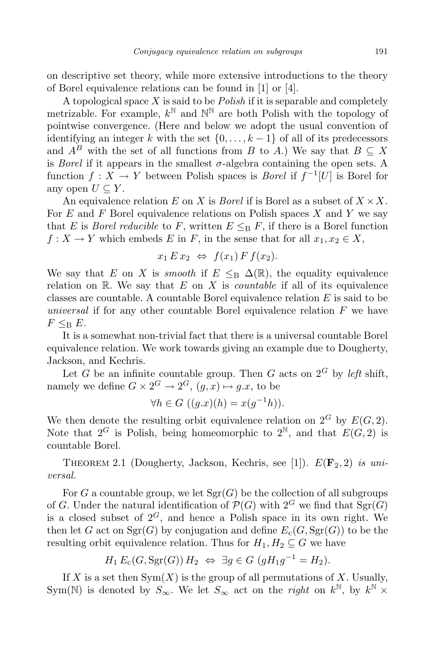on descriptive set theory, while more extensive introductions to the theory of Borel equivalence relations can be found in [1] or [4].

A topological space *X* is said to be *Polish* if it is separable and completely metrizable. For example,  $k^{\mathbb{N}}$  and  $\mathbb{N}^{\mathbb{N}}$  are both Polish with the topology of pointwise convergence. (Here and below we adopt the usual convention of identifying an integer *k* with the set  $\{0, \ldots, k-1\}$  of all of its predecessors and  $A^B$  with the set of all functions from *B* to *A*.) We say that  $B \subseteq X$ is *Borel* if it appears in the smallest  $\sigma$ -algebra containing the open sets. A function  $f: X \to Y$  between Polish spaces is *Borel* if  $f^{-1}[U]$  is Borel for any open  $U \subseteq Y$ .

An equivalence relation *E* on *X* is *Borel* if is Borel as a subset of  $X \times X$ . For *E* and *F* Borel equivalence relations on Polish spaces *X* and *Y* we say that *E* is *Borel reducible* to *F*, written  $E \leq_B F$ , if there is a Borel function  $f: X \to Y$  which embeds *E* in *F*, in the sense that for all  $x_1, x_2 \in X$ ,

$$
x_1 E x_2 \Leftrightarrow f(x_1) F f(x_2).
$$

We say that *E* on *X* is *smooth* if  $E \leq_B \Delta(\mathbb{R})$ , the equality equivalence relation on  $\mathbb{R}$ . We say that  $E$  on  $X$  is *countable* if all of its equivalence classes are countable. A countable Borel equivalence relation *E* is said to be *universal* if for any other countable Borel equivalence relation *F* we have  $F \leq_B E$ .

It is a somewhat non-trivial fact that there is a universal countable Borel equivalence relation. We work towards giving an example due to Dougherty, Jackson, and Kechris.

Let *G* be an infinite countable group. Then *G* acts on  $2^G$  by *left* shift, namely we define  $G \times 2^G \rightarrow 2^G$ ,  $(g, x) \mapsto g.x$ , to be

$$
\forall h \in G \ ((g.x)(h) = x(g^{-1}h)).
$$

We then denote the resulting orbit equivalence relation on  $2^G$  by  $E(G, 2)$ . Note that  $2^G$  is Polish, being homeomorphic to  $2^N$ , and that  $E(G, 2)$  is countable Borel.

THEOREM 2.1 (Dougherty, Jackson, Kechris, see [1]).  $E(\mathbf{F}_2, 2)$  *is universal.*

For *G* a countable group, we let  $Sgr(G)$  be the collection of all subgroups of *G*. Under the natural identification of  $\mathcal{P}(G)$  with  $2^G$  we find that  $Sgr(G)$ is a closed subset of  $2^G$ , and hence a Polish space in its own right. We then let *G* act on  $Sgr(G)$  by conjugation and define  $E_c(G, Sgr(G))$  to be the resulting orbit equivalence relation. Thus for  $H_1, H_2 \subseteq G$  we have

$$
H_1 E_c(G, \text{Sgr}(G)) H_2 \Leftrightarrow \exists g \in G \ (gH_1g^{-1} = H_2).
$$

If *X* is a set then  $Sym(X)$  is the group of all permutations of *X*. Usually, Sym(N) is denoted by  $S_{\infty}$ . We let  $S_{\infty}$  act on the *right* on  $k^{\mathbb{N}}$ , by  $k^{\mathbb{N}} \times$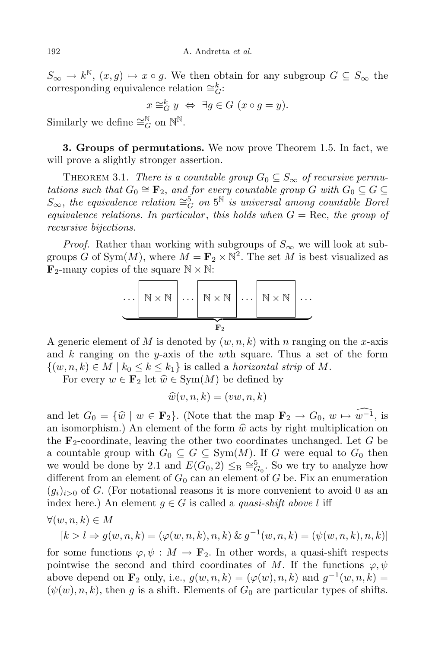$S_{\infty} \to k^{\mathbb{N}}, (x, g) \mapsto x \circ g$ . We then obtain for any subgroup  $G \subseteq S_{\infty}$  the corresponding equivalence relation  $\cong_G^k$ :

$$
x \cong_G^k y \iff \exists g \in G \ (x \circ g = y).
$$

Similarly we define  $\cong_G^{\mathbb{N}}$  on  $\mathbb{N}^{\mathbb{N}}$ .

**3. Groups of permutations.** We now prove Theorem 1.5. In fact, we will prove a slightly stronger assertion.

THEOREM 3.1. *There is a countable group*  $G_0 \subseteq S_\infty$  *of recursive permutations such that*  $G_0 \cong \mathbf{F}_2$ , *and for every countable group*  $G$  *with*  $G_0 \subseteq G \subseteq$  $S_{\infty}$ , the equivalence relation  $\cong_G^5$  on  $5^{\mathbb{N}}$  is universal among countable Borel *equivalence relations.* In particular, this holds when  $G = \text{Rec}$ , the group of *recursive bijections.*

*Proof.* Rather than working with subgroups of  $S_{\infty}$  we will look at subgroups *G* of Sym $(M)$ , where  $M = \mathbf{F}_2 \times \mathbb{N}^2$ . The set *M* is best visualized as  $\mathbf{F}_2$ -many copies of the square  $\mathbb{N} \times \mathbb{N}$ :

*· · ·* N *×* N *· · ·* N *×* N *· · ·* N *×* N *· · ·* | {z } **F**<sup>2</sup>

A generic element of M is denoted by  $(w, n, k)$  with *n* ranging on the *x*-axis and *k* ranging on the *y*-axis of the *w*th square. Thus a set of the form  $\{(w, n, k) \in M \mid k_0 \leq k \leq k_1\}$  is called a *horizontal strip* of M.

For every  $w \in \mathbf{F}_2$  let  $\hat{w} \in \text{Sym}(M)$  be defined by

$$
\widehat{w}(v,n,k) = (vw,n,k)
$$

and let  $G_0 = \{\hat{w} \mid w \in \mathbf{F}_2\}$ . (Note that the map  $\mathbf{F}_2 \to G_0$ ,  $w \mapsto \widehat{w^{-1}}$ , is an isomorphism.) An element of the form  $\hat{w}$  acts by right multiplication on the **F**2-coordinate, leaving the other two coordinates unchanged. Let *G* be a countable group with  $G_0 \subseteq G \subseteq \text{Sym}(M)$ . If *G* were equal to  $G_0$  then we would be done by 2.1 and  $E(G_0, 2) \leq B \cong_{G_0}^5$ . So we try to analyze how different from an element of  $G_0$  can an element of  $G$  be. Fix an enumeration  $(g_i)_{i>0}$  of *G*. (For notational reasons it is more convenient to avoid 0 as an index here.) An element  $g \in G$  is called a *quasi-shift* above *l* iff

$$
\forall (w,n,k) \in M
$$

$$
[k > l \Rightarrow g(w, n, k) = (\varphi(w, n, k), n, k) \& g^{-1}(w, n, k) = (\psi(w, n, k), n, k)]
$$

for some functions  $\varphi, \psi : M \to \mathbf{F}_2$ . In other words, a quasi-shift respects pointwise the second and third coordinates of *M*. If the functions  $\varphi, \psi$ above depend on  $\mathbf{F}_2$  only, i.e.,  $g(w, n, k) = (\varphi(w), n, k)$  and  $g^{-1}(w, n, k) =$  $(\psi(w), n, k)$ , then *g* is a shift. Elements of  $G_0$  are particular types of shifts.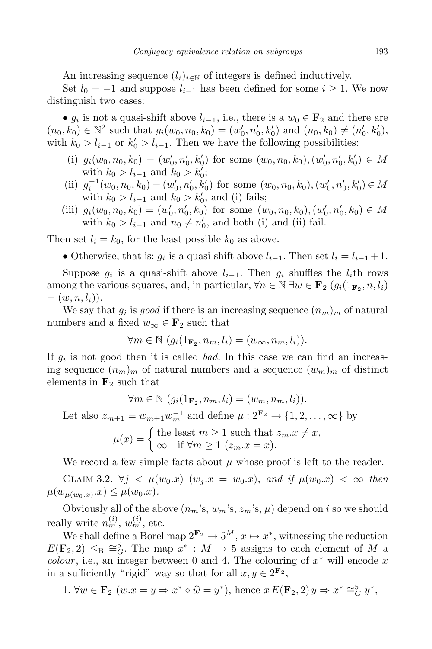An increasing sequence  $(l_i)_{i \in \mathbb{N}}$  of integers is defined inductively.

Set  $l_0 = -1$  and suppose  $l_{i-1}$  has been defined for some  $i ≥ 1$ . We now distinguish two cases:

•  $g_i$  is not a quasi-shift above  $l_{i-1}$ , i.e., there is a  $w_0 \in \mathbf{F}_2$  and there are  $(n_0, k_0) \in \mathbb{N}^2$  such that  $g_i(w_0, n_0, k_0) = (w'_0, n'_0, k'_0)$  and  $(n_0, k_0) \neq (n'_0, k'_0)$ , with  $k_0 > l_{i-1}$  or  $k'_0 > l_{i-1}$ . Then we have the following possibilities:

- (i)  $g_i(w_0, n_0, k_0) = (w'_0, n'_0, k'_0)$  for some  $(w_0, n_0, k_0), (w'_0, n'_0, k'_0) \in M$ with  $k_0 > l_{i-1}$  and  $k_0 > k'_0$ ;
- (ii)  $g_i^{-1}(w_0, n_0, k_0) = (w'_0, n'_0, k'_0)$  for some  $(w_0, n_0, k_0), (w'_0, n'_0, k'_0) \in M$ with  $k_0 > l_{i-1}$  and  $k_0 > k'_0$ , and (i) fails;
- (iii)  $g_i(w_0, n_0, k_0) = (w'_0, n'_0, k_0)$  for some  $(w_0, n_0, k_0), (w'_0, n'_0, k_0) \in M$ with  $k_0 > l_{i-1}$  and  $n_0 \neq n'_0$ , and both (i) and (ii) fail.

Then set  $l_i = k_0$ , for the least possible  $k_0$  as above.

• Otherwise, that is:  $g_i$  is a quasi-shift above  $l_{i-1}$ . Then set  $l_i = l_{i-1} + 1$ .

Suppose  $g_i$  is a quasi-shift above  $l_{i-1}$ . Then  $g_i$  shuffles the  $l_i$ <sup>th</sup> rows among the various squares, and, in particular,  $\forall n \in \mathbb{N} \exists w \in \mathbf{F}_2$  ( $g_i(1_{\mathbf{F}_2}, n, l_i)$ )  $=(w, n, l_i)).$ 

We say that  $g_i$  is *good* if there is an increasing sequence  $(n_m)_m$  of natural numbers and a fixed  $w_{\infty} \in \mathbf{F}_2$  such that

$$
\forall m \in \mathbb{N} \ (g_i(1_{\mathbf{F}_2}, n_m, l_i) = (w_{\infty}, n_m, l_i)).
$$

If *g<sup>i</sup>* is not good then it is called *bad.* In this case we can find an increasing sequence  $(n_m)_m$  of natural numbers and a sequence  $(w_m)_m$  of distinct elements in **F**<sup>2</sup> such that

$$
\forall m \in \mathbb{N} \ (g_i(1_{\mathbf{F}_2}, n_m, l_i) = (w_m, n_m, l_i)).
$$

Let also  $z_{m+1} = w_{m+1}w_m^{-1}$  and define  $\mu: 2^{\mathbf{F}_2} \to \{1, 2, ..., \infty\}$  by

$$
\mu(x) = \begin{cases} \text{the least } m \ge 1 \text{ such that } z_m \ldotp x \ne x, \\ \infty \quad \text{if } \forall m \ge 1 \ (z_m \ldotp x = x). \end{cases}
$$

We record a few simple facts about  $\mu$  whose proof is left to the reader.

CLAIM 3.2. *∀j*  $\lt \mu(w_0.x)$  ( $w_j.x = w_0.x$ ), and if  $\mu(w_0.x) \lt \infty$  then  $\mu(w_{\mu(w_0,x)}.x) \leq \mu(w_0.x).$ 

Obviously all of the above  $(n_m, s, w_m, s, z_m, s, \mu)$  depend on *i* so we should really write  $n_m^{(i)}$ ,  $w_m^{(i)}$ , etc.

We shall define a Borel map  $2^{\mathbf{F}_2} \to 5^M$ ,  $x \mapsto x^*$ , witnessing the reduction  $E(\mathbf{F}_2, 2) \leq_B \cong_G^5$ . The map  $x^* : M \to 5$  assigns to each element of *M* a *colour*, i.e., an integer between 0 and 4. The colouring of  $x^*$  will encode  $x$ in a sufficiently "rigid" way so that for all  $x, y \in 2^{\mathbf{F}_2}$ ,

1. 
$$
\forall w \in \mathbf{F}_2 \ (w.x = y \Rightarrow x^* \circ \widehat{w} = y^*), \text{ hence } x E(\mathbf{F}_2, 2) y \Rightarrow x^* \cong_G^5 y^*,
$$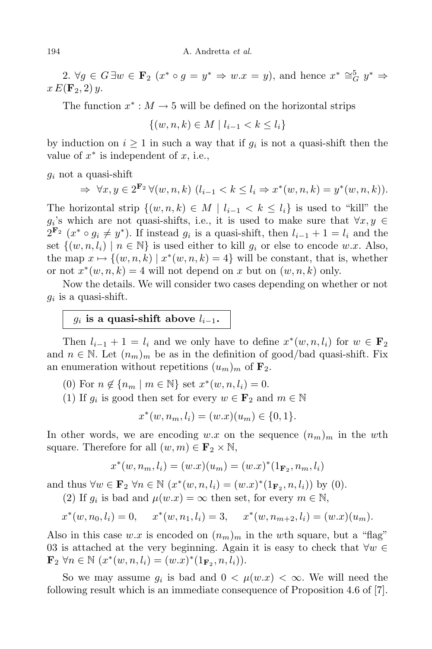2.  $\forall g \in G \exists w \in \mathbf{F}_2 \ (x^* \circ g = y^* \Rightarrow w.x = y)$ , and hence  $x^* \cong_G^5 y^* \Rightarrow$  $x E(\mathbf{F}_2, 2) y$ .

The function  $x^*$  :  $M \to 5$  will be defined on the horizontal strips

*{*(*w, n, k*) *∈ M | li−*<sup>1</sup> *< k ≤ li}*

by induction on  $i \geq 1$  in such a way that if  $g_i$  is not a quasi-shift then the value of *x ∗* is independent of *x*, i.e.,

*g<sup>i</sup>* not a quasi-shift

$$
\Rightarrow \forall x, y \in 2^{\mathbf{F}_2} \forall (w, n, k) \ (l_{i-1} < k \leq l_i \Rightarrow x^*(w, n, k) = y^*(w, n, k)).
$$

The horizontal strip  $\{(w, n, k) \in M \mid l_{i-1} < k \leq l_i\}$  is used to "kill" the  $g_i$ 's which are not quasi-shifts, i.e., it is used to make sure that  $\forall x, y \in$  $2^{\mathbf{F}_2}$   $(x^* \circ g_i \neq y^*$ ). If instead  $g_i$  is a quasi-shift, then  $l_{i-1} + 1 = l_i$  and the set  $\{(w, n, l_i) \mid n \in \mathbb{N}\}\$ is used either to kill  $g_i$  or else to encode  $w.x$ . Also, the map  $x \mapsto \{(w, n, k) \mid x^*(w, n, k) = 4\}$  will be constant, that is, whether or not  $x^*(w, n, k) = 4$  will not depend on  $x$  but on  $(w, n, k)$  only.

Now the details. We will consider two cases depending on whether or not  $g_i$  is a quasi-shift.

# $g_i$  is a quasi-shift above  $l_{i-1}$ .

Then  $l_{i-1} + 1 = l_i$  and we only have to define  $x^*(w, n, l_i)$  for  $w \in \mathbf{F}_2$ and  $n \in \mathbb{N}$ . Let  $(n_m)_m$  be as in the definition of good/bad quasi-shift. Fix an enumeration without repetitions  $(u_m)_m$  of  $\mathbf{F}_2$ .

(0) For  $n \notin \{n_m \mid m \in \mathbb{N}\}$  set  $x^*(w, n, l_i) = 0$ .

(1) If  $g_i$  is good then set for every  $w \in \mathbf{F}_2$  and  $m \in \mathbb{N}$ 

$$
x^*(w, n_m, l_i) = (w.x)(u_m) \in \{0, 1\}.
$$

In other words, we are encoding  $w.x$  on the sequence  $(n_m)_m$  in the wth square. Therefore for all  $(w, m) \in \mathbf{F}_2 \times \mathbb{N}$ ,

$$
x^*(w, n_m, l_i) = (w.x)(u_m) = (w.x)^*(1_{\mathbf{F}_2}, n_m, l_i)
$$

and thus  $\forall w \in \mathbf{F}_2 \ \forall n \in \mathbb{N} \ (x^*(w, n, l_i) = (w.x)^*(1_{\mathbf{F}_2}, n, l_i))$  by (0).

(2) If  $g_i$  is bad and  $\mu(w.x) = \infty$  then set, for every  $m \in \mathbb{N}$ ,

$$
x^*(w, n_0, l_i) = 0
$$
,  $x^*(w, n_1, l_i) = 3$ ,  $x^*(w, n_{m+2}, l_i) = (w.x)(u_m)$ .

Also in this case  $w.x$  is encoded on  $(n_m)_m$  in the wth square, but a "flag" 03 is attached at the very beginning. Again it is easy to check that *∀w ∈* **F**<sub>2</sub>  $\forall n \in \mathbb{N}$  ( $x^*(w, n, l_i) = (w.x)^*(1_{\mathbf{F}_2}, n, l_i)).$ 

So we may assume  $g_i$  is bad and  $0 < \mu(w.x) < \infty$ . We will need the following result which is an immediate consequence of Proposition 4.6 of [7].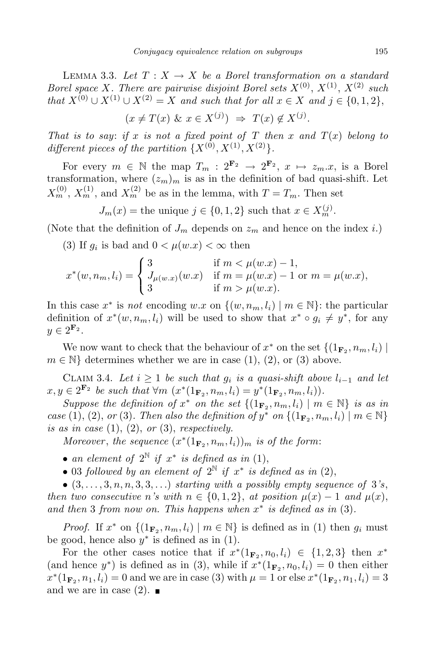LEMMA 3.3. Let  $T: X \to X$  be a Borel transformation on a standard *Borel space X. There are pairwise disjoint Borel sets*  $X^{(0)}$ ,  $X^{(1)}$ ,  $X^{(2)}$  *such* that  $X^{(0)} \cup X^{(1)} \cup X^{(2)} = X$  and such that for all  $x \in X$  and  $j \in \{0,1,2\},\$ 

$$
(x \neq T(x) \& x \in X^{(j)}) \Rightarrow T(x) \notin X^{(j)}.
$$

*That is to say*: *if x is not a fixed point of T then x and*  $T(x)$  *belong to* different pieces of the partition  $\{X^{(0)}, X^{(1)}, X^{(2)}\}$ .

For every  $m \in \mathbb{N}$  the map  $T_m : 2^{\mathbf{F}_2} \to 2^{\mathbf{F}_2}$ ,  $x \mapsto z_m \cdot x$ , is a Borel transformation, where  $(z_m)_m$  is as in the definition of bad quasi-shift. Let  $X_m^{(0)}$ ,  $X_m^{(1)}$ , and  $X_m^{(2)}$  be as in the lemma, with  $T = T_m$ . Then set

 $J_m(x) =$  the unique  $j \in \{0, 1, 2\}$  such that  $x \in X_m^{(j)}$ .

(Note that the definition of  $J_m$  depends on  $z_m$  and hence on the index *i*.)

(3) If  $g_i$  is bad and  $0 < \mu(w.x) < \infty$  then

$$
x^*(w, n_m, l_i) = \begin{cases} 3 & \text{if } m < \mu(w.x) - 1, \\ J_{\mu(w.x)}(w.x) & \text{if } m = \mu(w.x) - 1 \text{ or } m = \mu(w.x), \\ 3 & \text{if } m > \mu(w.x). \end{cases}
$$

In this case  $x^*$  is *not* encoding  $w.x$  on  $\{(w, n_m, l_i) \mid m \in \mathbb{N}\}\)$ : the particular definition of  $x^*(w, n_m, l_i)$  will be used to show that  $x^* \circ g_i \neq y^*$ , for any  $y \in 2^{\mathbf{F}_2}$ .

We now want to check that the behaviour of  $x^*$  on the set  $\{(1_{\mathbf{F}_2}, n_m, l_i) \mid \mathbf{F}_2\}$  $m \in \mathbb{N}$  determines whether we are in case (1), (2), or (3) above.

CLAIM 3.4. Let  $i \geq 1$  be such that  $g_i$  is a quasi-shift above  $l_{i-1}$  and let  $x, y \in 2^{\mathbf{F}_2}$  be such that  $\forall m \ (x^*(1_{\mathbf{F}_2}, n_m, l_i) = y^*(1_{\mathbf{F}_2}, n_m, l_i)).$ 

Suppose the definition of  $x^*$  on the set  $\{(\mathbf{1}_{\mathbf{F}_2}, n_m, l_i) \mid m \in \mathbb{N}\}\$ is as in case (1), (2), or (3). Then also the definition of  $y^*$  on  $\{(1_{\mathbf{F}_2}, n_m, l_i) \mid m \in \mathbb{N}\}\$ *is as in case* (1), (2), *or* (3), *respectively.*

 $Moreover, the sequence$   $(x^*(1_{\mathbf{F}_2}, n_m, l_i))_m$  *is of the form:* 

- *an element of*  $2^{\mathbb{N}}$  *if*  $x^*$  *is defined as in* (1),
- 03 *followed by an element of*  $2^N$  *if*  $x^*$  *is defined as in* (2),

 $\bullet$   $(3,\ldots,3,n,n,3,3,\ldots)$  starting with a possibly empty sequence of 3's, *then two consecutive n*<sup>*'s*</sup> *with*  $n \in \{0, 1, 2\}$ , *at position*  $\mu(x) - 1$  *and*  $\mu(x)$ , *and then* 3 *from now on. This happens when x ∗ is defined as in* (3)*.*

*Proof.* If  $x^*$  on  $\{(1_{\mathbf{F}_2}, n_m, l_i) \mid m \in \mathbb{N}\}\)$  is defined as in (1) then  $g_i$  must be good, hence also  $y^*$  is defined as in  $(1)$ .

For the other cases notice that if  $x^*(1_{{\bf F}_2}, n_0, l_i) \in \{1, 2, 3\}$  then  $x^*$ (and hence  $y^*$ ) is defined as in (3), while if  $x^*(1_{\mathbf{F}_2}, n_0, l_i) = 0$  then either  $x^*(1_{\mathbf{F}_2}, n_1, l_i) = 0$  and we are in case (3) with  $\mu = 1$  or else  $x^*(1_{\mathbf{F}_2}, n_1, l_i) = 3$ and we are in case  $(2)$ .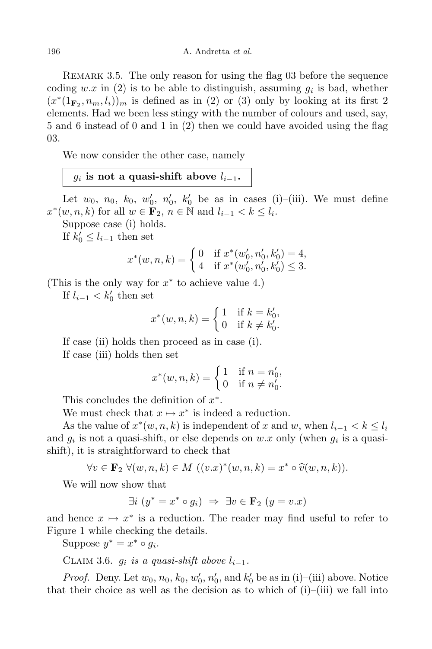Remark 3.5. The only reason for using the flag 03 before the sequence coding  $w.x$  in (2) is to be able to distinguish, assuming  $g_i$  is bad, whether  $(x^*(1_{\mathbf{F}_2}, n_m, l_i))_m$  is defined as in (2) or (3) only by looking at its first 2 elements. Had we been less stingy with the number of colours and used, say, 5 and 6 instead of 0 and 1 in (2) then we could have avoided using the flag 03.

We now consider the other case, namely

## $g_i$  is not a quasi-shift above  $l_{i-1}$ .

Let  $w_0$ ,  $n_0$ ,  $k_0$ ,  $w'_0$ ,  $n'_0$ ,  $k'_0$  be as in cases (i)–(iii). We must define  $x^*(w, n, k)$  for all  $w \in \mathbf{F}_2$ ,  $n \in \mathbb{N}$  and  $l_{i-1} < k \leq l_i$ .

Suppose case (i) holds.

If  $k'_0 \leq l_{i-1}$  then set

$$
x^*(w, n, k) = \begin{cases} 0 & \text{if } x^*(w'_0, n'_0, k'_0) = 4, \\ 4 & \text{if } x^*(w'_0, n'_0, k'_0) \le 3. \end{cases}
$$

(This is the only way for *x ∗* to achieve value 4.)

If  $l_{i-1} < k'_0$  then set

$$
x^*(w, n, k) = \begin{cases} 1 & \text{if } k = k'_0, \\ 0 & \text{if } k \neq k'_0. \end{cases}
$$

If case (ii) holds then proceed as in case (i). If case (iii) holds then set

$$
x^*(w, n, k) = \begin{cases} 1 & \text{if } n = n'_0, \\ 0 & \text{if } n \neq n'_0. \end{cases}
$$

This concludes the definition of *x ∗* .

We must check that  $x \mapsto x^*$  is indeed a reduction.

As the value of  $x^*(w, n, k)$  is independent of  $x$  and  $w$ , when  $l_{i-1} < k \leq l_i$ and  $g_i$  is not a quasi-shift, or else depends on  $w.x$  only (when  $g_i$  is a quasishift), it is straightforward to check that

$$
\forall v \in \mathbf{F}_2 \ \forall (w, n, k) \in M \ ((v.x)^*(w, n, k) = x^* \circ \widehat{v}(w, n, k)).
$$

We will now show that

$$
\exists i \ (y^* = x^* \circ g_i) \ \Rightarrow \ \exists v \in \mathbf{F}_2 \ (y = v.x)
$$

and hence  $x \mapsto x^*$  is a reduction. The reader may find useful to refer to Figure 1 while checking the details.

Suppose  $y^* = x^* \circ g_i$ .

CLAIM 3.6.  $g_i$  *is a quasi-shift above*  $l_{i-1}$ .

*Proof.* Deny. Let  $w_0$ ,  $n_0$ ,  $k_0$ ,  $w'_0$ ,  $n'_0$ , and  $k'_0$  be as in (i)–(iii) above. Notice that their choice as well as the decision as to which of  $(i)$ – $(iii)$  we fall into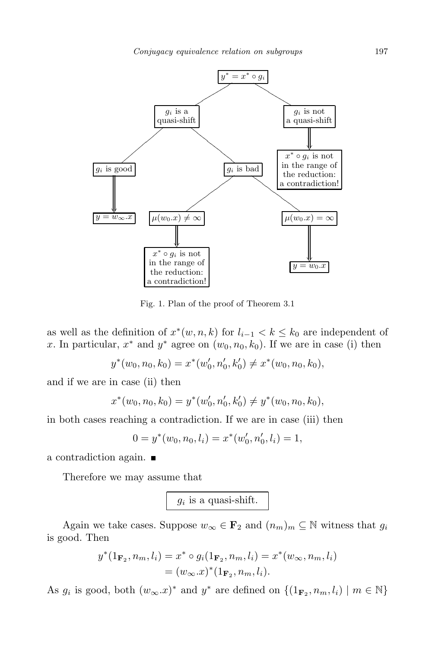

Fig. 1. Plan of the proof of Theorem 3.1

as well as the definition of  $x^*(w, n, k)$  for  $l_{i-1} < k \leq k_0$  are independent of *x*. In particular,  $x^*$  and  $y^*$  agree on  $(w_0, n_0, k_0)$ . If we are in case (i) then

$$
y^*(w_0, n_0, k_0) = x^*(w'_0, n'_0, k'_0) \neq x^*(w_0, n_0, k_0),
$$

and if we are in case (ii) then

$$
x^*(w_0, n_0, k_0) = y^*(w'_0, n'_0, k'_0) \neq y^*(w_0, n_0, k_0),
$$

in both cases reaching a contradiction. If we are in case (iii) then

$$
0 = y^*(w_0, n_0, l_i) = x^*(w'_0, n'_0, l_i) = 1,
$$

a contradiction again.

Therefore we may assume that

 $g_i$  is a quasi-shift.

Again we take cases. Suppose  $w_{\infty} \in \mathbf{F}_2$  and  $(n_m)_m \subseteq \mathbb{N}$  witness that  $g_i$ is good. Then

$$
y^*(1_{\mathbf{F}_2}, n_m, l_i) = x^* \circ g_i(1_{\mathbf{F}_2}, n_m, l_i) = x^*(w_\infty, n_m, l_i)
$$
  
=  $(w_\infty.x)^*(1_{\mathbf{F}_2}, n_m, l_i).$ 

As  $g_i$  is good, both  $(w_\infty x)^*$  and  $y^*$  are defined on  $\{(1_{\mathbf{F}_2}, n_m, l_i) \mid m \in \mathbb{N}\}\$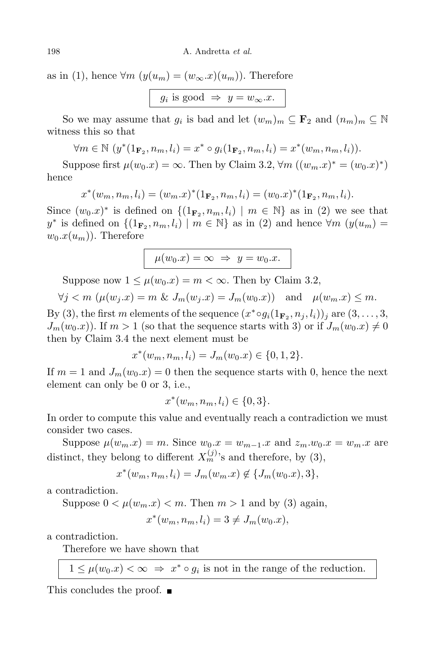as in (1), hence  $\forall m \ (y(u_m) = (w_\infty.x)(u_m))$ . Therefore

 $g_i$  is good  $\Rightarrow$   $y = w_\infty \cdot x$ .

So we may assume that  $g_i$  is bad and let  $(w_m)_m \subseteq \mathbf{F}_2$  and  $(n_m)_m \subseteq \mathbb{N}$ witness this so that

$$
\forall m \in \mathbb{N} \ (y^*(1_{\mathbf{F}_2}, n_m, l_i) = x^* \circ g_i(1_{\mathbf{F}_2}, n_m, l_i) = x^*(w_m, n_m, l_i)).
$$

Suppose first  $\mu(w_0.x) = \infty$ . Then by Claim 3.2,  $\forall m ((w_m.x)^* = (w_0.x)^*)$ hence

$$
x^*(w_m, n_m, l_i) = (w_m.x)^*(1_{\mathbf{F}_2}, n_m, l_i) = (w_0.x)^*(1_{\mathbf{F}_2}, n_m, l_i).
$$

Since  $(w_0.x)^*$  is defined on  $\{(1_{\mathbf{F}_2}, n_m, l_i) \mid m \in \mathbb{N}\}\)$  as in (2) we see that  $y^*$  is defined on  $\{(1_{\mathbf{F}_2}, n_m, l_i) \mid m \in \mathbb{N}\}\$ as in (2) and hence  $\forall m \ (y(u_m) =$  $w_0.x(u_m)$ ). Therefore

$$
\mu(w_0.x) = \infty \implies y = w_0.x.
$$

Suppose now  $1 \leq \mu(w_0.x) = m < \infty$ . Then by Claim 3.2,

 $\forall j < m \ (\mu(w_i.x) = m \& J_m(w_i.x) = J_m(w_0.x))$  and  $\mu(w_m.x) \leq m$ .

By (3), the first m elements of the sequence  $(x^* \circ g_i(1_{\mathbf{F}_2}, n_j, l_i))_j$  are  $(3, \ldots, 3,$  $J_m(w_0.x)$ . If  $m > 1$  (so that the sequence starts with 3) or if  $J_m(w_0.x) \neq 0$ then by Claim 3.4 the next element must be

$$
x^*(w_m, n_m, l_i) = J_m(w_0.x) \in \{0, 1, 2\}.
$$

If  $m = 1$  and  $J_m(w_0.x) = 0$  then the sequence starts with 0, hence the next element can only be 0 or 3, i.e.,

$$
x^*(w_m, n_m, l_i) \in \{0, 3\}.
$$

In order to compute this value and eventually reach a contradiction we must consider two cases.

Suppose  $\mu(w_m.x) = m$ . Since  $w_0.x = w_{m-1}.x$  and  $z_m.w_0.x = w_m.x$  are distinct, they belong to different  $X_m^{(j)}$ 's and therefore, by (3),

$$
x^*(w_m, n_m, l_i) = J_m(w_m.x) \notin \{J_m(w_0.x), 3\},\
$$

a contradiction.

Suppose  $0 < \mu(w_m.x) < m$ . Then  $m > 1$  and by (3) again,

$$
x^*(w_m, n_m, l_i) = 3 \neq J_m(w_0.x),
$$

a contradiction.

Therefore we have shown that

 $1 \leq \mu(w_0.x) < \infty \Rightarrow x^* \circ g_i$  is not in the range of the reduction.

This concludes the proof.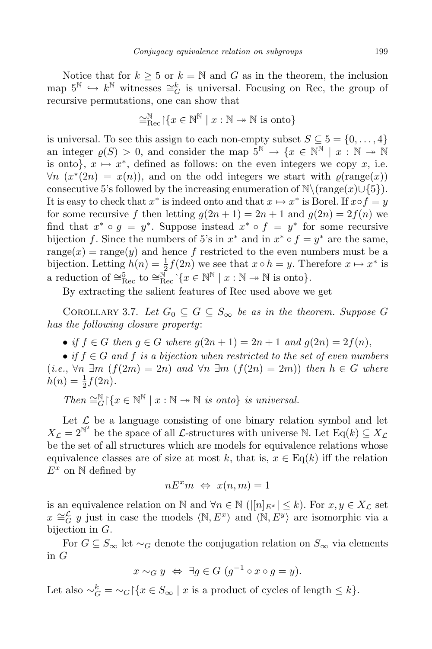Notice that for  $k \geq 5$  or  $k = \mathbb{N}$  and G as in the theorem, the inclusion map  $5^{\mathbb{N}}$   $\hookrightarrow$  *k*<sup> $\mathbb{N}$ </sup> witnesses  $\cong$ <sup>*k*</sup><sub>*G*</sub> is universal. Focusing on Rec, the group of recursive permutations, one can show that

$$
\cong_{\text{Rec}}^{\mathbb{N}} \left[ \{ x \in \mathbb{N}^{\mathbb{N}} \mid x : \mathbb{N} \to \mathbb{N} \text{ is onto} \right\}
$$

is universal. To see this assign to each non-empty subset  $S \subseteq 5 = \{0, \ldots, 4\}$ an integer  $\varrho(S) > 0$ , and consider the map  $5^{\mathbb{N}} \to \{x \in \mathbb{N}^{\mathbb{N}} \mid x : \mathbb{N} \to \mathbb{N}$ is onto},  $x \mapsto x^*$ , defined as follows: on the even integers we copy  $x$ , i.e.  $\forall n \ (x^*(2n) = x(n))$ , and on the odd integers we start with  $\varrho(\text{range}(x))$ consecutive 5's followed by the increasing enumeration of  $\mathbb{N}\setminus\text{range}(x)\cup\{5\}$ . It is easy to check that  $x^*$  is indeed onto and that  $x \mapsto x^*$  is Borel. If  $x \circ f = y$ for some recursive f then letting  $g(2n + 1) = 2n + 1$  and  $g(2n) = 2f(n)$  we find that  $x^* \circ g = y^*$ . Suppose instead  $x^* \circ f = y^*$  for some recursive bijection *f*. Since the numbers of 5's in  $x^*$  and in  $x^* \circ f = y^*$  are the same, range $(x)$  = range $(y)$  and hence f restricted to the even numbers must be a bijection. Letting  $h(n) = \frac{1}{2}$  $\frac{1}{2}f(2n)$  we see that  $x \circ h = y$ . Therefore  $x \mapsto x^*$  is a reduction of  $\cong_{\text{Rec}}^5$  to  $\cong_{\text{Rec}}^{\mathbb{N}}$   $\{x \in \mathbb{N}^{\mathbb{N}} \mid x : \mathbb{N} \to \mathbb{N} \text{ is onto}\}.$ 

By extracting the salient features of Rec used above we get

COROLLARY 3.7. Let  $G_0 \subseteq G \subseteq S_\infty$  be as in the theorem. Suppose G *has the following closure property*:

• *if*  $f \in G$  *then*  $g \in G$  *where*  $g(2n+1) = 2n+1$  *and*  $g(2n) = 2f(n)$ ,

 $\bullet$  *if*  $f \in G$  *and*  $f$  *is a bijection when restricted to the set of even numbers*  $(i.e., \forall n \ \exists m \ (f(2m) = 2n) \ and \ \forall n \ \exists m \ (f(2n) = 2m) \ then \ h \in G \ where$  $h(n) = \frac{1}{2}$  $\frac{1}{2}f(2n)$ .

 $Then \cong_G^{\mathbb{N}} \{x \in \mathbb{N}^{\mathbb{N}} \mid x : \mathbb{N} \to \mathbb{N} \text{ is onto } \} \text{ is universal.}$ 

Let  $\mathcal L$  be a language consisting of one binary relation symbol and let  $X_{\mathcal{L}} = 2^{\mathbb{N}^2}$  be the space of all *L*-structures with universe N. Let Eq(*k*)  $\subseteq X_{\mathcal{L}}$ be the set of all structures which are models for equivalence relations whose equivalence classes are of size at most k, that is,  $x \in \text{Eq}(k)$  iff the relation *E<sup>x</sup>* on N defined by

$$
nE^x m \Leftrightarrow x(n,m) = 1
$$

is an equivalence relation on N and  $\forall n \in \mathbb{N}$  ( $\vert [n]_{E^x} \vert \leq k$ ). For  $x, y \in X_{\mathcal{L}}$  set *x*  $\cong$   $\frac{L}{G}$  *y* just in case the models  $\langle \mathbb{N}, E^x \rangle$  and  $\langle \mathbb{N}, E^y \rangle$  are isomorphic via a bijection in *G*.

For  $G \subseteq S_\infty$  let  $\sim_G$  denote the conjugation relation on  $S_\infty$  via elements in *G*

$$
x \sim_G y \iff \exists g \in G \ (g^{-1} \circ x \circ g = y).
$$

Let also  $\sim_G^k = \sim_G \left[ \{ x \in S_\infty \mid x \text{ is a product of cycles of length } \leq k \right\}.$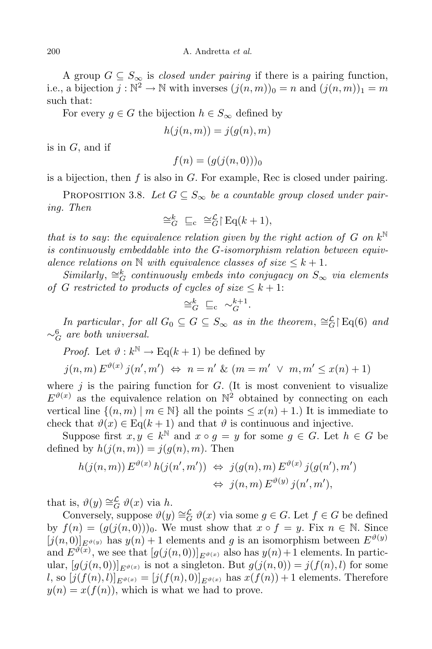A group  $G \subseteq S_{\infty}$  is *closed under pairing* if there is a pairing function, i.e., a bijection  $j : \mathbb{N}^2 \to \mathbb{N}$  with inverses  $(j(n, m))_0 = n$  and  $(j(n, m))_1 = m$ such that:

For every  $g \in G$  the bijection  $h \in S_\infty$  defined by

$$
h(j(n,m)) = j(g(n),m)
$$

is in *G*, and if

$$
f(n) = (g(j(n,0)))_0
$$

is a bijection, then *f* is also in *G*. For example, Rec is closed under pairing.

PROPOSITION 3.8. Let  $G \subseteq S_\infty$  be a countable group closed under pair*ing. Then*

$$
\cong_G^k \sqsubseteq_c \cong_G^{\mathcal{L}} \upharpoonright \text{Eq}(k+1),
$$

*that is to say*: *the equivalence relation given by the right action of G on*  $k^{\mathbb{N}}$ *is continuously embeddable into the G-isomorphism relation between equivalence relations on*  $\mathbb N$  *with equivalence classes of size*  $\leq k+1$ *.* 

 $Similarly, \cong_G^k$  *continuously embeds into conjugacy on*  $S_\infty$  *via elements of G* restricted to products of cycles of size  $\leq k+1$ :

$$
\cong_G^k \sqsubseteq_c \sim_G^{k+1}.
$$

*In particular, for all*  $G_0 \subseteq G \subseteq S_\infty$  *as in the theorem,*  $\cong_G^{\mathcal{L}} E_q(6)$  *and ∼*6 *<sup>G</sup> are both universal.*

*Proof.* Let  $\vartheta : k^{\mathbb{N}} \to \text{Eq}(k+1)$  be defined by

$$
j(n,m) E^{\vartheta(x)} j(n',m') \iff n = n' \& (m = m' \lor m, m' \leq x(n) + 1)
$$

where  $j$  is the pairing function for  $G$ . (It is most convenient to visualize  $E^{\vartheta(x)}$  as the equivalence relation on  $\mathbb{N}^2$  obtained by connecting on each vertical line  $\{(n, m) | m \in \mathbb{N}\}\$ all the points  $\leq x(n) + 1$ .) It is immediate to check that  $\vartheta(x) \in \text{Eq}(k+1)$  and that  $\vartheta$  is continuous and injective.

Suppose first  $x, y \in k^{\mathbb{N}}$  and  $x \circ g = y$  for some  $g \in G$ . Let  $h \in G$  be defined by  $h(j(n, m)) = j(q(n), m)$ . Then

$$
h(j(n,m)) E^{\vartheta(x)} h(j(n',m')) \Leftrightarrow j(g(n),m) E^{\vartheta(x)} j(g(n'),m')
$$
  

$$
\Leftrightarrow j(n,m) E^{\vartheta(y)} j(n',m'),
$$

that is,  $\vartheta(y) \cong_G^L \vartheta(x)$  via *h*.

Conversely, suppose  $\vartheta(y) \cong_G^L \vartheta(x)$  via some  $g \in G$ . Let  $f \in G$  be defined by  $f(n) = (g(j(n, 0)))_0$ . We must show that  $x \circ f = y$ . Fix  $n \in \mathbb{N}$ . Since  $[j(n,0)]_{E^{\vartheta(y)}}$  has  $y(n) + 1$  elements and g is an isomorphism between  $E^{\vartheta(y)}$ and  $E^{\vartheta(x)}$ , we see that  $[g(j(n,0))]_{E^{\vartheta(x)}}$  also has  $y(n) + 1$  elements. In particular,  $[g(j(n,0))]_{E^{\vartheta}(x)}$  is not a singleton. But  $g(j(n,0)) = j(f(n),l)$  for some l, so  $[j(f(n), l)]_{E^{\vartheta}(x)} = [j(f(n), 0)]_{E^{\vartheta}(x)}$  has  $x(f(n)) + 1$  elements. Therefore  $y(n) = x(f(n))$ , which is what we had to prove.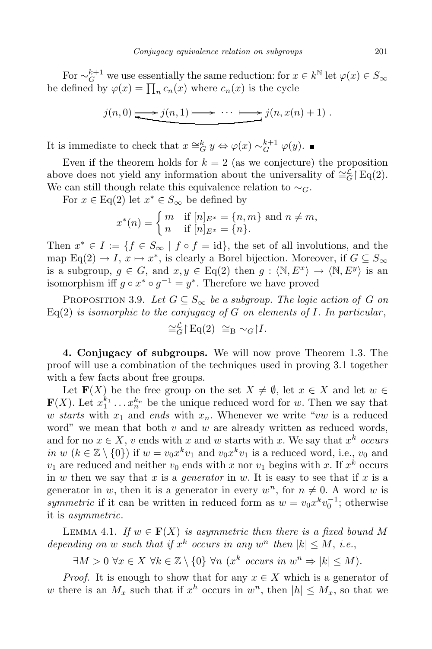For  $\sim_G^{k+1}$  we use essentially the same reduction: for  $x \in k^{\mathbb{N}}$  let  $\varphi(x) \in S_\infty$ be defined by  $\varphi(x) = \prod_n c_n(x)$  where  $c_n(x)$  is the cycle

$$
j(n,0) \longrightarrow j(n,1) \longrightarrow \cdots \longrightarrow j(n,x(n)+1) .
$$

It is immediate to check that  $x \cong_G^k y \Leftrightarrow \varphi(x) \sim_G^{k+1} \varphi(y)$ .

Even if the theorem holds for  $k = 2$  (as we conjecture) the proposition above does not yield any information about the universality of  $\cong_G^L$  [Eq(2). We can still though relate this equivalence relation to *∼G*.

For  $x \in \text{Eq}(2)$  let  $x^* \in S_\infty$  be defined by

$$
x^*(n) = \begin{cases} m & \text{if } [n]_{E^x} = \{n, m\} \text{ and } n \neq m, \\ n & \text{if } [n]_{E^x} = \{n\}. \end{cases}
$$

Then  $x^* \in I := \{f \in S_\infty \mid f \circ f = \text{id}\},\$  the set of all involutions, and the map Eq(2)  $\rightarrow$  *I*,  $x \mapsto x^*$ , is clearly a Borel bijection. Moreover, if  $G \subseteq S_{\infty}$ is a subgroup,  $g \in G$ , and  $x, y \in Eq(2)$  then  $g : \langle \mathbb{N}, E^x \rangle \to \langle \mathbb{N}, E^y \rangle$  is an isomorphism iff  $g \circ x^* \circ g^{-1} = y^*$ . Therefore we have proved

PROPOSITION 3.9. Let  $G \subseteq S_\infty$  be a subgroup. The logic action of G on  $Eq(2)$  *is isomorphic to the conjugacy of G on elements of I. In particular,* 

$$
\cong_G^L \upharpoonright \text{Eq}(2) \cong_B \sim_G \upharpoonright I.
$$

**4. Conjugacy of subgroups.** We will now prove Theorem 1.3. The proof will use a combination of the techniques used in proving 3.1 together with a few facts about free groups.

Let **F**(*X*) be the free group on the set  $X \neq \emptyset$ , let  $x \in X$  and let  $w \in Y$  $\mathbf{F}(X)$ . Let  $x_1^{k_1} \ldots x_n^{k_n}$  be the unique reduced word for *w*. Then we say that *w starts* with  $x_1$  and *ends* with  $x_n$ . Whenever we write "*vw* is a reduced word" we mean that both *v* and *w* are already written as reduced words, and for no  $x \in X$ , *v* ends with *x* and *w* starts with *x*. We say that  $x^k$  *occurs in w* ( $k \in \mathbb{Z} \setminus \{0\}$ ) if  $w = v_0 x^k v_1$  and  $v_0 x^k v_1$  is a reduced word, i.e.,  $v_0$  and  $v_1$  are reduced and neither  $v_0$  ends with *x* nor  $v_1$  begins with *x*. If  $x^k$  occurs in *w* then we say that *x* is a *generator* in *w*. It is easy to see that if *x* is a generator in *w*, then it is a generator in every  $w^n$ , for  $n \neq 0$ . A word *w* is *symmetric* if it can be written in reduced form as  $w = v_0 x^k v_0^{-1}$ ; otherwise it is *asymmetric*.

LEMMA 4.1. *If*  $w \in \mathbf{F}(X)$  *is asymmetric then there is a fixed bound* M *depending on w such that if*  $x^k$  *occurs in any*  $w^n$  *then*  $|k| \leq M$ , *i.e.*,

 $\exists M > 0 \ \forall x \in X \ \forall k \in \mathbb{Z} \setminus \{0\} \ \forall n \ (x^k \text{ occurs in } w^n \Rightarrow |k| \leq M).$ 

*Proof.* It is enough to show that for any  $x \in X$  which is a generator of *w* there is an  $M_x$  such that if  $x^h$  occurs in  $w^n$ , then  $|h| \leq M_x$ , so that we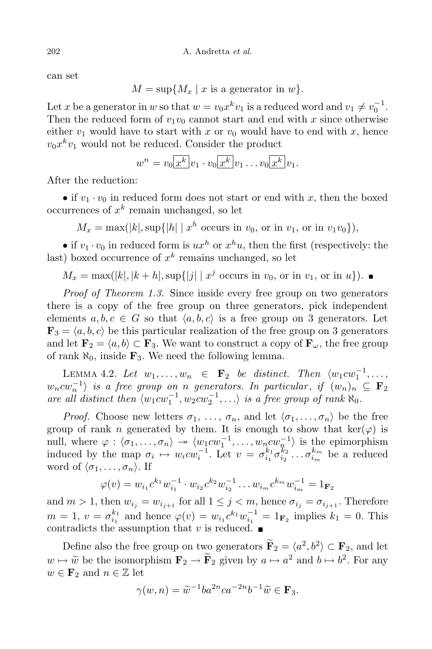can set

 $M = \sup\{M_x \mid x \text{ is a generator in } w\}.$ 

Let *x* be a generator in *w* so that  $w = v_0 x^k v_1$  is a reduced word and  $v_1 \neq v_0^{-1}$ . Then the reduced form of  $v_1v_0$  cannot start and end with x since otherwise either  $v_1$  would have to start with x or  $v_0$  would have to end with x, hence  $v_0 x^k v_1$  would not be reduced. Consider the product

$$
w^n = v_0 \boxed{x^k} v_1 \cdot v_0 \boxed{x^k} v_1 \dots v_0 \boxed{x^k} v_1.
$$

After the reduction:

• if  $v_1 \cdot v_0$  in reduced form does not start or end with *x*, then the boxed occurrences of *x k* remain unchanged, so let

 $M_x = \max(|k|, \sup\{|h| \mid x^h \text{ occurs in } v_0, \text{ or in } v_1, \text{ or in } v_1v_0\}),$ 

• if  $v_1 \cdot v_0$  in reduced form is  $ux^h$  or  $x^h u$ , then the first (respectively: the last) boxed occurrence of *x k* remains unchanged, so let

 $M_x = \max(|k|, |k+h|, \sup\{|j| \mid x^j \text{ occurs in } v_0, \text{ or in } v_1, \text{ or in } u\}).$ 

*Proof of Theorem 1.3.* Since inside every free group on two generators there is a copy of the free group on three generators, pick independent elements  $a, b, c \in G$  so that  $\langle a, b, c \rangle$  is a free group on 3 generators. Let  $\mathbf{F}_3 = \langle a, b, c \rangle$  be this particular realization of the free group on 3 generators and let  $\mathbf{F}_2 = \langle a, b \rangle \subset \mathbf{F}_3$ . We want to construct a copy of  $\mathbf{F}_\omega$ , the free group of rank  $\aleph_0$ , inside  $\mathbf{F}_3$ . We need the following lemma.

LEMMA 4.2. Let  $w_1, \ldots, w_n \in \mathbf{F}_2$  be distinct. Then  $\langle w_1 c w_1^{-1}, \ldots, w_n \rangle$  $w_n c w_n^{-1}$  *is a free group on n generators. In particular*, *if*  $(w_n)_n \subseteq F_2$ are all distinct then  $\langle w_1 c w_1^{-1}, w_2 c w_2^{-1}, \ldots \rangle$  is a free group of rank  $\aleph_0$ .

*Proof.* Choose new letters  $\sigma_1, \ldots, \sigma_n$ , and let  $\langle \sigma_1, \ldots, \sigma_n \rangle$  be the free group of rank *n* generated by them. It is enough to show that  $\ker(\varphi)$  is null, where  $\varphi : \langle \sigma_1, \ldots, \sigma_n \rangle \rightarrow \langle w_1 c w_1^{-1}, \ldots, w_n c w_n^{-1} \rangle$  is the epimorphism induced by the map  $\sigma_i \mapsto w_i c w_i^{-1}$ . Let  $v = \sigma_{i_1}^{k_1} \sigma_{i_2}^{k_2} \dots \sigma_{i_m}^{k_m}$  be a reduced word of  $\langle \sigma_1, \ldots, \sigma_n \rangle$ . If

$$
\varphi(v) = w_{i_1} c^{k_1} w_{i_1}^{-1} \cdot w_{i_2} c^{k_2} w_{i_2}^{-1} \dots w_{i_m} c^{k_m} w_{i_m}^{-1} = 1_{\mathbf{F}_2}
$$

and  $m > 1$ , then  $w_{i_j} = w_{i_{j+1}}$  for all  $1 \leq j < m$ , hence  $\sigma_{i_j} = \sigma_{i_{j+1}}$ . Therefore  $m = 1, v = \sigma_{i_1}^{k_1}$  and hence  $\varphi(v) = w_{i_1} c^{k_1} w_{i_1}^{-1} = 1_{\mathbf{F}_2}$  implies  $k_1 = 0$ . This contradicts the assumption that  $v$  is reduced.  $\blacksquare$ 

Define also the free group on two generators  $\tilde{\mathbf{F}}_2 = \langle a^2, b^2 \rangle \subset \mathbf{F}_2$ , and let  $w \mapsto \widetilde{w}$  be the isomorphism  $\mathbf{F}_2 \to \widetilde{\mathbf{F}}_2$  given by  $a \mapsto a^2$  and  $b \mapsto b^2$ . For any  $w \in \mathbf{F}_2$  and  $n \in \mathbb{Z}$  let

$$
\gamma(w,n) = \widetilde{w}^{-1}ba^{2n}ca^{-2n}b^{-1}\widetilde{w} \in \mathbf{F}_3.
$$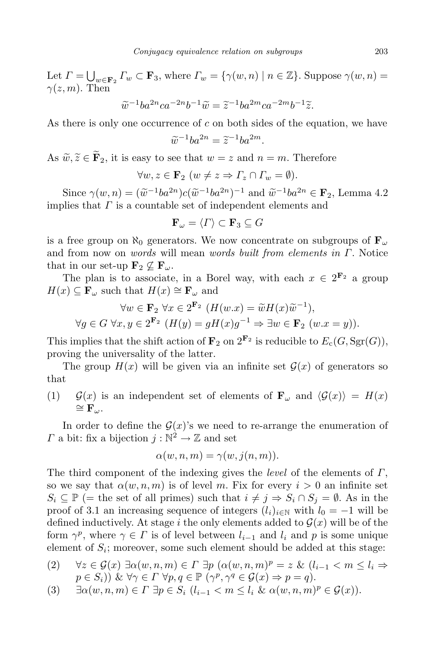Let  $\Gamma = \bigcup_{w \in \mathbf{F}_2} \Gamma_w \subset \mathbf{F}_3$ , where  $\Gamma_w = \{ \gamma(w, n) \mid n \in \mathbb{Z} \}$ . Suppose  $\gamma(w, n) =$ *γ*(*z, m*). Then

$$
\widetilde{w}^{-1}ba^{2n}ca^{-2n}b^{-1}\widetilde{w} = \widetilde{z}^{-1}ba^{2m}ca^{-2m}b^{-1}\widetilde{z}.
$$

As there is only one occurrence of *c* on both sides of the equation, we have

$$
\widetilde{w}^{-1}ba^{2n} = \widetilde{z}^{-1}ba^{2m}.
$$

As  $\widetilde{w}, \widetilde{z} \in \widetilde{\mathbf{F}}_2$ , it is easy to see that  $w = z$  and  $n = m$ . Therefore

$$
\forall w, z \in \mathbf{F}_2 \ (w \neq z \Rightarrow \Gamma_z \cap \Gamma_w = \emptyset).
$$

Since  $\gamma(w, n) = (\tilde{w}^{-1}ba^{2n})c(\tilde{w}^{-1}ba^{2n})^{-1}$  and  $\tilde{w}^{-1}ba^{2n} \in \mathbf{F}_2$ , Lemma 4.2 implies that *Γ* is a countable set of independent elements and

$$
\mathbf{F}_{\omega} = \langle \Gamma \rangle \subset \mathbf{F}_3 \subseteq G
$$

is a free group on *ℵ*<sup>0</sup> generators. We now concentrate on subgroups of **F***<sup>ω</sup>* and from now on *words* will mean *words built from elements in Γ*. Notice that in our set-up  $\mathbf{F}_2 \not\subseteq \mathbf{F}_\omega$ .

The plan is to associate, in a Borel way, with each  $x \in 2^{\mathbf{F}_2}$  a group  $H(x) \subseteq \mathbf{F}_{\omega}$  such that  $H(x) \cong \mathbf{F}_{\omega}$  and

$$
\forall w \in \mathbf{F}_2 \ \forall x \in 2^{\mathbf{F}_2} \ (H(w.x) = \widetilde{w}H(x)\widetilde{w}^{-1}),
$$
  

$$
\forall g \in G \ \forall x, y \in 2^{\mathbf{F}_2} \ (H(y) = gH(x)g^{-1} \Rightarrow \exists w \in \mathbf{F}_2 \ (w.x = y)).
$$

This implies that the shift action of  $\mathbf{F}_2$  on  $2^{\mathbf{F}_2}$  is reducible to  $E_c(G, \text{Sgr}(G)),$ proving the universality of the latter.

The group  $H(x)$  will be given via an infinite set  $\mathcal{G}(x)$  of generators so that

(1)  $\mathcal{G}(x)$  is an independent set of elements of  $\mathbf{F}_{\omega}$  and  $\langle \mathcal{G}(x) \rangle = H(x)$ *∼*= **F***ω*.

In order to define the  $\mathcal{G}(x)$ 's we need to re-arrange the enumeration of *Γ* a bit: fix a bijection  $j : \mathbb{N}^2 \to \mathbb{Z}$  and set

$$
\alpha(w, n, m) = \gamma(w, j(n, m)).
$$

The third component of the indexing gives the *level* of the elements of *Γ*, so we say that  $\alpha(w, n, m)$  is of level *m*. Fix for every  $i > 0$  an infinite set  $S_i \subseteq \mathbb{P}$  (= the set of all primes) such that  $i \neq j \Rightarrow S_i \cap S_j = \emptyset$ . As in the proof of 3.1 an increasing sequence of integers  $(l_i)_{i \in \mathbb{N}}$  with  $l_0 = -1$  will be defined inductively. At stage *i* the only elements added to  $\mathcal{G}(x)$  will be of the form  $\gamma^p$ , where  $\gamma \in \Gamma$  is of level between  $l_{i-1}$  and  $l_i$  and  $p$  is some unique element of  $S_i$ ; moreover, some such element should be added at this stage:

(2) 
$$
\forall z \in \mathcal{G}(x) \exists \alpha(w, n, m) \in \Gamma \exists p (\alpha(w, n, m)^p = z \& (l_{i-1} < m \le l_i \Rightarrow p \in S_i)) \& \forall \gamma \in \Gamma \forall p, q \in \mathbb{P} (\gamma^p, \gamma^q \in \mathcal{G}(x) \Rightarrow p = q).
$$

$$
(3) \quad \exists \alpha(w,n,m) \in \Gamma \; \exists p \in S_i \; (l_{i-1} < m \le l_i \; \& \alpha(w,n,m)^p \in \mathcal{G}(x)).
$$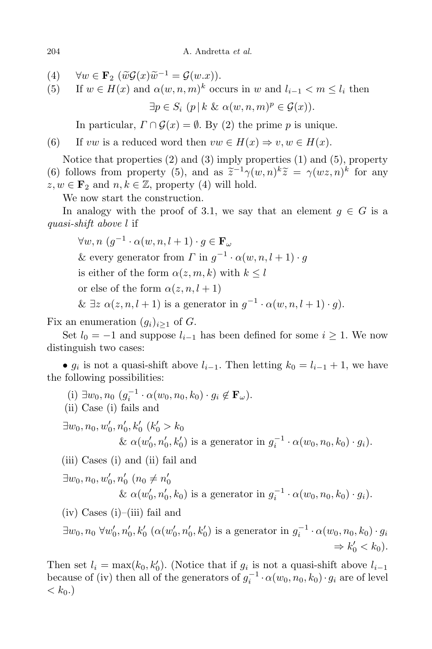$\forall w \in \mathbf{F}_2 \ (\widetilde{w}\mathcal{G}(x)\widetilde{w}^{-1} = \mathcal{G}(w.x)).$ 

(5) If  $w \in H(x)$  and  $\alpha(w, n, m)^k$  occurs in  $w$  and  $l_{i-1} < m \leq l_i$  then

 $\exists p \in S_i$   $(p | k \& \alpha(w, n, m)^p \in \mathcal{G}(x)$ ).

In particular,  $\Gamma \cap \mathcal{G}(x) = \emptyset$ . By (2) the prime *p* is unique.

(6) If *vw* is a reduced word then  $vw \in H(x) \Rightarrow v, w \in H(x)$ .

Notice that properties (2) and (3) imply properties (1) and (5), property (6) follows from property (5), and as  $\tilde{z}^{-1}\gamma(w,n)^k\tilde{z} = \gamma(wz,n)^k$  for any  $z, w \in \mathbf{F}_2$  and  $n, k \in \mathbb{Z}$ , property (4) will hold.

We now start the construction.

In analogy with the proof of 3.1, we say that an element  $q \in G$  is a *quasi-shift above l* if

 $\forall w, n \ (g^{-1} \cdot \alpha(w, n, l + 1) \cdot g \in \mathbf{F}_{\omega}$ & every generator from  $\Gamma$  in  $g^{-1} \cdot \alpha(w, n, l + 1) \cdot g$ is either of the form  $\alpha(z, m, k)$  with  $k \leq l$ or else of the form  $\alpha(z, n, l + 1)$ &  $\exists z \alpha(z, n, l+1)$  is a generator in  $g^{-1} \cdot \alpha(w, n, l+1) \cdot g$ .

Fix an enumeration  $(q_i)_{i\geq 1}$  of *G*.

Set  $l_0 = -1$  and suppose  $l_{i-1}$  has been defined for some  $i \geq 1$ . We now distinguish two cases:

•  $g_i$  is not a quasi-shift above  $l_{i-1}$ . Then letting  $k_0 = l_{i-1} + 1$ , we have the following possibilities:

- $(i) \exists w_0, n_0 \ (g_i^{-1} \cdot \alpha(w_0, n_0, k_0) \cdot g_i \notin \mathbf{F}_{\omega}).$
- (ii) Case (i) fails and

 $\exists w_0, n_0, w'_0, n'_0, k'_0 \ (k'_0 > k_0)$ &  $\alpha(w'_0, n'_0, k'_0)$  is a generator in  $g_i^{-1} \cdot \alpha(w_0, n_0, k_0) \cdot g_i$ .

(iii) Cases (i) and (ii) fail and

$$
\exists w_0, n_0, w'_0, n'_0 \ (n_0 \neq n'_0
$$
  
&  $\alpha(w'_0, n'_0, k_0)$  is a generator in  $g_i^{-1} \cdot \alpha(w_0, n_0, k_0) \cdot g_i$ .

 $(iv)$  Cases  $(i)$ – $(iii)$  fail and

 $\exists w_0, n_0 \ \forall w'_0, n'_0, k'_0 \ (\alpha(w'_0, n'_0, k'_0) \text{ is a generator in } g_i^{-1} \cdot \alpha(w_0, n_0, k_0) \cdot g_i$  $\Rightarrow k'_0 < k_0$ ).

Then set  $l_i = \max(k_0, k'_0)$ . (Notice that if  $g_i$  is not a quasi-shift above  $l_{i-1}$ because of (iv) then all of the generators of  $g_i^{-1} \cdot \alpha(w_0, n_0, k_0) \cdot g_i$  are of level  $< k_0.$ )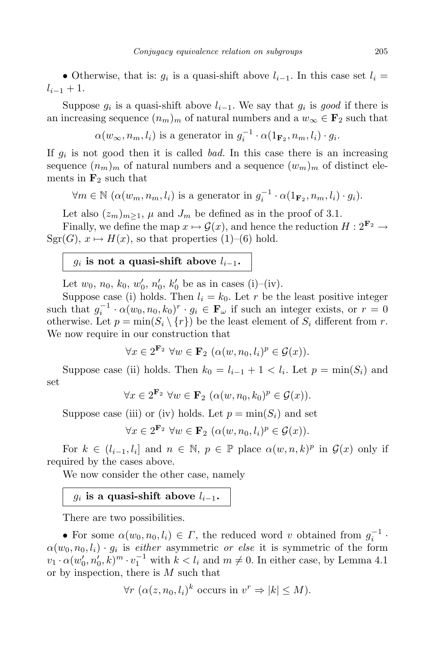• Otherwise, that is:  $g_i$  is a quasi-shift above  $l_{i-1}$ . In this case set  $l_i =$  $l_{i-1} + 1$ .

Suppose  $g_i$  is a quasi-shift above  $l_{i-1}$ . We say that  $g_i$  is good if there is an increasing sequence  $(n_m)_m$  of natural numbers and a  $w_\infty \in \mathbf{F}_2$  such that

 $\alpha(w_{\infty}, n_m, l_i)$  is a generator in  $g_i^{-1} \cdot \alpha(1_{\mathbf{F}_2}, n_m, l_i) \cdot g_i$ .

If *g<sup>i</sup>* is not good then it is called *bad.* In this case there is an increasing sequence  $(n_m)_m$  of natural numbers and a sequence  $(w_m)_m$  of distinct elements in  $\mathbf{F}_2$  such that

 $\forall m \in \mathbb{N} \ (\alpha(w_m, n_m, l_i) \text{ is a generator in } g_i^{-1} \cdot \alpha(1_{\mathbf{F}_2}, n_m, l_i) \cdot g_i).$ 

Let also  $(z_m)_{m>1}$ ,  $\mu$  and  $J_m$  be defined as in the proof of 3.1.

Finally, we define the map  $x \mapsto \mathcal{G}(x)$ , and hence the reduction  $H: 2^{\mathbf{F}_2} \to$  $Sgr(G), x \mapsto H(x)$ , so that properties (1)–(6) hold.

#### $g_i$  is not a quasi-shift above  $l_{i-1}$ .

Let  $w_0$ ,  $n_0$ ,  $k_0$ ,  $w'_0$ ,  $n'_0$ ,  $k'_0$  be as in cases (i)–(iv).

Suppose case (i) holds. Then  $l_i = k_0$ . Let r be the least positive integer such that  $g_i^{-1} \cdot \alpha(w_0, n_0, k_0)^r \cdot g_i \in \mathbf{F}_{\omega}$  if such an integer exists, or  $r = 0$ otherwise. Let  $p = \min(S_i \setminus \{r\})$  be the least element of  $S_i$  different from *r*. We now require in our construction that

$$
\forall x \in 2^{\mathbf{F}_2} \,\forall w \in \mathbf{F}_2 \, \, (\alpha(w, n_0, l_i)^p \in \mathcal{G}(x)).
$$

Suppose case (ii) holds. Then  $k_0 = l_{i-1} + 1 < l_i$ . Let  $p = \min(S_i)$  and set

$$
\forall x \in 2^{\mathbf{F}_2} \ \forall w \in \mathbf{F}_2 \ (\alpha(w, n_0, k_0)^p \in \mathcal{G}(x)).
$$

Suppose case (iii) or (iv) holds. Let  $p = min(S_i)$  and set

 $\forall x \in 2^{\mathbf{F}_2} \ \forall w \in \mathbf{F}_2 \ (\alpha(w, n_0, l_i)^p \in \mathcal{G}(x)).$ 

For  $k \in (l_{i-1}, l_i]$  and  $n \in \mathbb{N}$ ,  $p \in \mathbb{P}$  place  $\alpha(w, n, k)^p$  in  $\mathcal{G}(x)$  only if required by the cases above.

We now consider the other case, namely

## $g_i$  is a quasi-shift above  $l_{i-1}$ .

There are two possibilities.

• For some  $\alpha(w_0, n_0, l_i) \in \Gamma$ , the reduced word *v* obtained from  $g_i^{-1}$ .  $\alpha(w_0, n_0, l_i) \cdot g_i$  is *either* asymmetric *or else* it is symmetric of the form  $v_1 \cdot \alpha(w'_0, n'_0, k)^m \cdot v_1^{-1}$  with  $k < l_i$  and  $m \neq 0$ . In either case, by Lemma 4.1 or by inspection, there is *M* such that

$$
\forall r \ (\alpha(z, n_0, l_i)^k \text{ occurs in } v^r \Rightarrow |k| \le M).
$$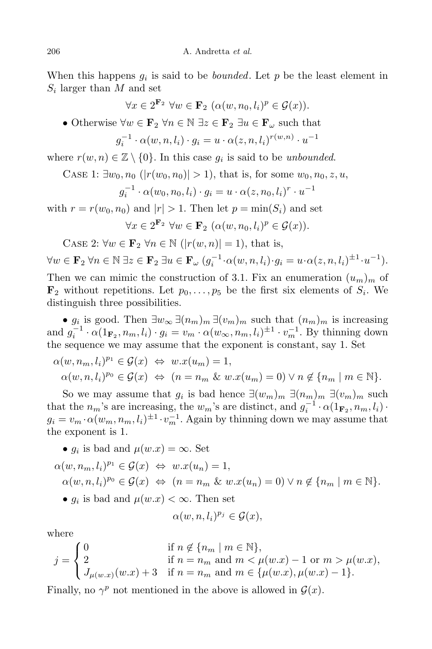When this happens  $g_i$  is said to be *bounded*. Let  $p$  be the least element in *Si* larger than *M* and set

$$
\forall x \in 2^{\mathbf{F}_2} \,\forall w \in \mathbf{F}_2 \, \, (\alpha(w, n_0, l_i)^p \in \mathcal{G}(x)).
$$

• Otherwise  $\forall w \in \mathbf{F}_2 \ \forall n \in \mathbb{N} \ \exists z \in \mathbf{F}_2 \ \exists u \in \mathbf{F}_\omega$  such that

$$
g_i^{-1} \cdot \alpha(w, n, l_i) \cdot g_i = u \cdot \alpha(z, n, l_i)^{r(w, n)} \cdot u^{-1}
$$

where  $r(w, n) \in \mathbb{Z} \setminus \{0\}$ . In this case  $g_i$  is said to be *unbounded*.

CASE 1:  $\exists w_0, n_0$  ( $|r(w_0, n_0)| > 1$ ), that is, for some  $w_0, n_0, z, u$ ,

$$
g_i^{-1} \cdot \alpha(w_0, n_0, l_i) \cdot g_i = u \cdot \alpha(z, n_0, l_i)^r \cdot u^{-1}
$$

with  $r = r(w_0, n_0)$  and  $|r| > 1$ . Then let  $p = \min(S_i)$  and set  $\forall x \in 2^{\mathbf{F}_2}$   $\forall w \in \mathbf{F}_2$  ( $\alpha(w, n_0, l_i)^p \in \mathcal{G}(x)$ ).

CASE 2: 
$$
\forall w \in \mathbf{F}_2 \ \forall n \in \mathbb{N} \ (|r(w,n)|=1)
$$
, that is,

 $\forall w \in \mathbf{F}_2 \ \forall n \in \mathbb{N} \ \exists z \in \mathbf{F}_2 \ \exists u \in \mathbf{F}_{\omega} \ (g_i^{-1} \cdot \alpha(w, n, l_i) \cdot g_i = u \cdot \alpha(z, n, l_i)^{\pm 1} \cdot u^{-1}).$ Then we can mimic the construction of 3.1. Fix an enumeration  $(u_m)_m$  of  $\mathbf{F}_2$  without repetitions. Let  $p_0, \ldots, p_5$  be the first six elements of  $S_i$ . We distinguish three possibilities.

•  $g_i$  is good. Then  $\exists w_{\infty} \exists (n_m)_m \exists (v_m)_m$  such that  $(n_m)_m$  is increasing and  $g_i^{-1} \cdot \alpha(1_{\mathbf{F}_2}, n_m, l_i) \cdot g_i = v_m \cdot \alpha(w_\infty, n_m, l_i)^{\pm 1} \cdot v_m^{-1}$ . By thinning down the sequence we may assume that the exponent is constant, say 1. Set

$$
\alpha(w, n_m, l_i)^{p_1} \in \mathcal{G}(x) \iff w.x(u_m) = 1,
$$
  
\n
$$
\alpha(w, n, l_i)^{p_0} \in \mathcal{G}(x) \iff (n = n_m \& w.x(u_m) = 0) \lor n \notin \{n_m \mid m \in \mathbb{N}\}.
$$

So we may assume that  $g_i$  is bad hence  $\exists (w_m)_m \exists (n_m)_m \exists (v_m)_m$  such that the  $n_m$ 's are increasing, the  $w_m$ 's are distinct, and  $g_i^{-1} \cdot \alpha(1_{\mathbf{F}_2}, n_m, l_i)$ *·*  $g_i = v_m \cdot \alpha(w_m, n_m, l_i)^{\pm 1} \cdot v_m^{-1}$ . Again by thinning down we may assume that the exponent is 1.

• 
$$
g_i
$$
 is bad and  $\mu(w.x) = \infty$ . Set

$$
\alpha(w, n_m, l_i)^{p_1} \in \mathcal{G}(x) \iff w.x(u_n) = 1,
$$
  
 
$$
\alpha(w, n, l_i)^{p_0} \in \mathcal{G}(x) \iff (n = n_m \& w.x(u_n) = 0) \lor n \notin \{n_m \mid m \in \mathbb{N}\}.
$$

•  $g_i$  is bad and  $\mu(w.x) < \infty$ . Then set

$$
\alpha(w,n,l_i)^{p_j}\in \mathcal{G}(x),
$$

where

$$
j = \begin{cases} 0 & \text{if } n \notin \{n_m \mid m \in \mathbb{N}\}, \\ 2 & \text{if } n = n_m \text{ and } m < \mu(w.x) - 1 \text{ or } m > \mu(w.x), \\ J_{\mu(w.x)}(w.x) + 3 & \text{if } n = n_m \text{ and } m \in \{\mu(w.x), \mu(w.x) - 1\}. \end{cases}
$$

Finally, no  $\gamma^p$  not mentioned in the above is allowed in  $\mathcal{G}(x)$ .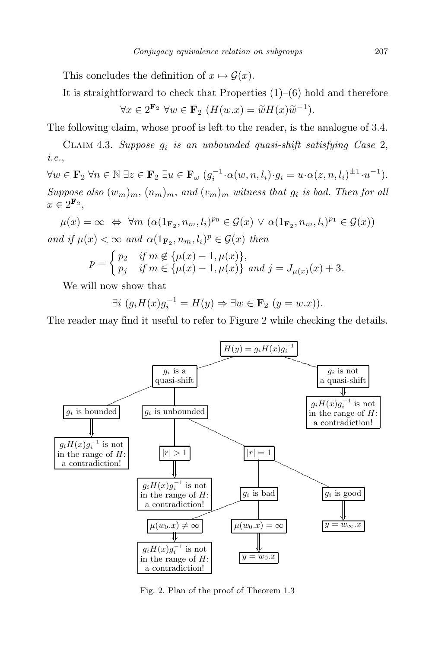This concludes the definition of  $x \mapsto \mathcal{G}(x)$ .

It is straightforward to check that Properties  $(1)$ – $(6)$  hold and therefore

$$
\forall x \in 2^{\mathbf{F}_2} \ \forall w \in \mathbf{F}_2 \ (H(w.x) = \widetilde{w}H(x)\widetilde{w}^{-1}).
$$

The following claim, whose proof is left to the reader, is the analogue of 3.4.

Claim 4.3. *Suppose g<sup>i</sup> is an unbounded quasi-shift satisfying Case* 2, *i.e.*,

 $\forall w \in \mathbf{F}_2 \ \forall n \in \mathbb{N} \ \exists z \in \mathbf{F}_2 \ \exists u \in \mathbf{F}_{\omega} \ (g_i^{-1} \cdot \alpha(w, n, l_i) \cdot g_i = u \cdot \alpha(z, n, l_i)^{\pm 1} \cdot u^{-1}).$ *Suppose also*  $(w_m)_m$ ,  $(n_m)_m$ , *and*  $(v_m)_m$  *witness that*  $g_i$  *is bad. Then for all*  $x \in 2^{\mathbf{F}_2}$ ,

 $\mu(x) = \infty \Leftrightarrow \forall m \ (\alpha(1_{\mathbf{F}_2}, n_m, l_i)^{p_0} \in \mathcal{G}(x) \lor \alpha(1_{\mathbf{F}_2}, n_m, l_i)^{p_1} \in \mathcal{G}(x))$ *and if*  $\mu(x) < \infty$  *and*  $\alpha(1_{\mathbf{F}_2}, n_m, l_i)^p \in \mathcal{G}(x)$  *then* 

$$
p = \begin{cases} p_2 & \text{if } m \notin {\mu(x) - 1, \mu(x)}, \\ p_j & \text{if } m \in {\mu(x) - 1, \mu(x)} \text{ and } j = J_{\mu(x)}(x) + 3. \end{cases}
$$

We will now show that

 $∃i (g_i H(x)g_i^{-1} = H(y) ⇒ ∃w ∈ **F**_2 (y = w.x)).$ 

The reader may find it useful to refer to Figure 2 while checking the details.



Fig. 2. Plan of the proof of Theorem 1.3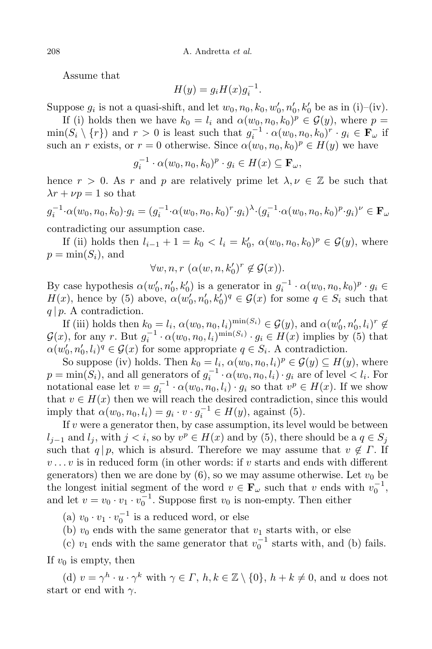Assume that

$$
H(y) = g_i H(x) g_i^{-1}.
$$

Suppose  $g_i$  is not a quasi-shift, and let  $w_0, n_0, k_0, w'_0, n'_0, k'_0$  be as in (i)–(iv).

If (i) holds then we have  $k_0 = l_i$  and  $\alpha(w_0, n_0, k_0)^p \in \mathcal{G}(y)$ , where  $p =$  $\min(S_i \setminus \{r\})$  and  $r > 0$  is least such that  $g_i^{-1} \cdot \alpha(w_0, n_0, k_0)^r \cdot g_i \in \mathbf{F}_{\omega}$  if such an *r* exists, or  $r = 0$  otherwise. Since  $\alpha(w_0, n_0, k_0)^p \in H(y)$  we have

$$
g_i^{-1} \cdot \alpha(w_0, n_0, k_0)^p \cdot g_i \in H(x) \subseteq \mathbf{F}_{\omega},
$$

hence  $r > 0$ . As  $r$  and  $p$  are relatively prime let  $\lambda, \nu \in \mathbb{Z}$  be such that  $\lambda r + \nu p = 1$  so that

$$
g_i^{-1} \cdot \alpha(w_0, n_0, k_0) \cdot g_i = (g_i^{-1} \cdot \alpha(w_0, n_0, k_0)^r \cdot g_i)^{\lambda} \cdot (g_i^{-1} \cdot \alpha(w_0, n_0, k_0)^p \cdot g_i)^{\nu} \in \mathbf{F}_{\omega}
$$

contradicting our assumption case.

If (ii) holds then  $l_{i-1} + 1 = k_0 < l_i = k'_0$ ,  $\alpha(w_0, n_0, k_0)^p \in \mathcal{G}(y)$ , where  $p = \min(S_i)$ , and

$$
\forall w, n, r \ (\alpha(w, n, k'_0)^r \notin \mathcal{G}(x)).
$$

By case hypothesis  $\alpha(w'_0, n'_0, k'_0)$  is a generator in  $g_i^{-1} \cdot \alpha(w_0, n_0, k_0)^p \cdot g_i \in$ *H*(*x*), hence by (5) above,  $\alpha(w'_0, n'_0, k'_0)^q \in \mathcal{G}(x)$  for some  $q \in S_i$  such that *q | p*. A contradiction.

If (iii) holds then  $k_0 = l_i$ ,  $\alpha(w_0, n_0, l_i)^{\min(S_i)} \in \mathcal{G}(y)$ , and  $\alpha(w'_0, n'_0, l_i)^r \notin$  $\mathcal{G}(x)$ , for any r. But  $g_i^{-1} \cdot \alpha(w_0, n_0, l_i)^{\min(S_i)} \cdot g_i \in H(x)$  implies by (5) that  $\alpha(w_0', n_0', l_i)^q \in \mathcal{G}(x)$  for some appropriate  $q \in S_i$ . A contradiction.

So suppose (iv) holds. Then  $k_0 = l_i$ ,  $\alpha(w_0, n_0, l_i)^p \in \mathcal{G}(y) \subseteq H(y)$ , where  $p = \min(S_i)$ , and all generators of  $g_i^{-1} \cdot \alpha(w_0, n_0, l_i) \cdot g_i$  are of level  $\lt l_i$ . For notational ease let  $v = g_i^{-1} \cdot \alpha(w_0, n_0, l_i) \cdot g_i$  so that  $v^p \in H(x)$ . If we show that  $v \in H(x)$  then we will reach the desired contradiction, since this would imply that  $\alpha(w_0, n_0, l_i) = g_i \cdot v \cdot g_i^{-1} \in H(y)$ , against (5).

If  $v$  were a generator then, by case assumption, its level would be between *l*<sub>*j*</sub><sup>−1</sup> and *l*<sub>*j*</sub>, with *j* < *i*, so by  $v^p \in H(x)$  and by (5), there should be a  $q \in S_j$ such that  $q | p$ , which is absurd. Therefore we may assume that  $v \notin \Gamma$ . If  $v \ldots v$  is in reduced form (in other words: if  $v$  starts and ends with different generators) then we are done by  $(6)$ , so we may assume otherwise. Let  $v_0$  be the longest initial segment of the word  $v \in \mathbf{F}_{\omega}$  such that *v* ends with  $v_0^{-1}$ , and let  $v = v_0 \cdot v_1 \cdot v_0^{-1}$ . Suppose first  $v_0$  is non-empty. Then either

(a)  $v_0 \cdot v_1 \cdot v_0^{-1}$  is a reduced word, or else

(b)  $v_0$  ends with the same generator that  $v_1$  starts with, or else

(c)  $v_1$  ends with the same generator that  $v_0^{-1}$  starts with, and (b) fails.

If  $v_0$  is empty, then

(d)  $v = \gamma^h \cdot u \cdot \gamma^k$  with  $\gamma \in \Gamma$ ,  $h, k \in \mathbb{Z} \setminus \{0\}$ ,  $h + k \neq 0$ , and  $u$  does not start or end with *γ*.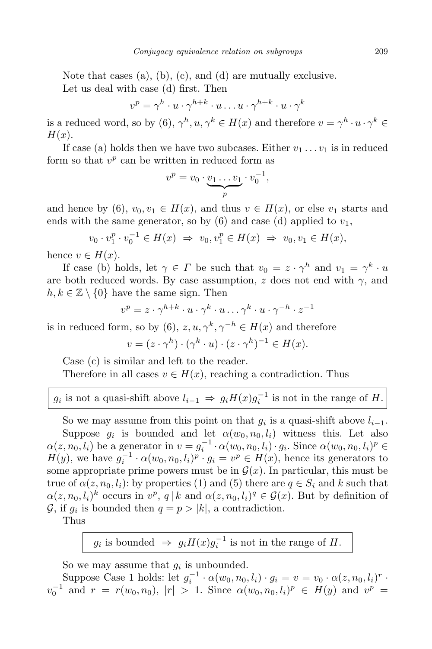Note that cases (a), (b), (c), and (d) are mutually exclusive. Let us deal with case (d) first. Then

$$
v^p = \gamma^h \cdot u \cdot \gamma^{h+k} \cdot u \dots u \cdot \gamma^{h+k} \cdot u \cdot \gamma^k
$$

is a reduced word, so by  $(6)$ ,  $\gamma^h, u, \gamma^k \in H(x)$  and therefore  $v = \gamma^h \cdot u \cdot \gamma^k \in H(x)$ *H*(*x*).

If case (a) holds then we have two subcases. Either  $v_1 \ldots v_1$  is in reduced form so that  $v^p$  can be written in reduced form as

$$
v^p = v_0 \cdot \underbrace{v_1 \dots v_1}_{p} \cdot v_0^{-1},
$$

and hence by (6),  $v_0, v_1 \in H(x)$ , and thus  $v \in H(x)$ , or else  $v_1$  starts and ends with the same generator, so by  $(6)$  and case  $(d)$  applied to  $v_1$ ,

$$
v_0 \cdot v_1^p \cdot v_0^{-1} \in H(x) \implies v_0, v_1^p \in H(x) \implies v_0, v_1 \in H(x),
$$

hence  $v \in H(x)$ .

If case (b) holds, let  $\gamma \in \Gamma$  be such that  $v_0 = z \cdot \gamma^h$  and  $v_1 = \gamma^k \cdot u$ are both reduced words. By case assumption,  $z$  does not end with  $\gamma$ , and  $h, k \in \mathbb{Z} \setminus \{0\}$  have the same sign. Then

$$
v^p = z \cdot \gamma^{h+k} \cdot u \cdot \gamma^k \cdot u \dots \gamma^k \cdot u \cdot \gamma^{-h} \cdot z^{-1}
$$

is in reduced form, so by (6),  $z, u, \gamma^k, \gamma^{-h} \in H(x)$  and therefore

$$
v = (z \cdot \gamma^h) \cdot (\gamma^k \cdot u) \cdot (z \cdot \gamma^h)^{-1} \in H(x).
$$

Case (c) is similar and left to the reader.

Therefore in all cases  $v \in H(x)$ , reaching a contradiction. Thus

 $g_i$  is not a quasi-shift above  $l_{i-1} \Rightarrow g_i H(x) g_i^{-1}$  is not in the range of *H*.

So we may assume from this point on that  $g_i$  is a quasi-shift above  $l_{i-1}$ . Suppose  $g_i$  is bounded and let  $\alpha(w_0, n_0, l_i)$  witness this. Let also  $\alpha(z, n_0, l_i)$  be a generator in  $v = g_i^{-1} \cdot \alpha(w_0, n_0, l_i) \cdot g_i$ . Since  $\alpha(w_0, n_0, l_i)^p \in$  $H(y)$ , we have  $g_i^{-1} \cdot \alpha(w_0, n_0, l_i)^p \cdot g_i = v^p \in H(x)$ , hence its generators to some appropriate prime powers must be in  $\mathcal{G}(x)$ . In particular, this must be true of  $\alpha(z, n_0, l_i)$ : by properties (1) and (5) there are  $q \in S_i$  and k such that  $\alpha(z, n_0, l_i)^k$  occurs in  $v^p$ ,  $q \mid k$  and  $\alpha(z, n_0, l_i)^q \in \mathcal{G}(x)$ . But by definition of *G*, if  $g_i$  is bounded then  $q = p > |k|$ , a contradiction.

Thus

 $g_i$  is bounded  $\Rightarrow$   $g_i H(x) g_i^{-1}$  is not in the range of *H*.

So we may assume that  $g_i$  is unbounded.

Suppose Case 1 holds: let  $g_i^{-1} \cdot \alpha(w_0, n_0, l_i) \cdot g_i = v = v_0 \cdot \alpha(z, n_0, l_i)^r$ .  $v_0^{-1}$  and  $r = r(w_0, n_0), |r| > 1$ . Since  $\alpha(w_0, n_0, l_i)^p \in H(y)$  and  $v^p =$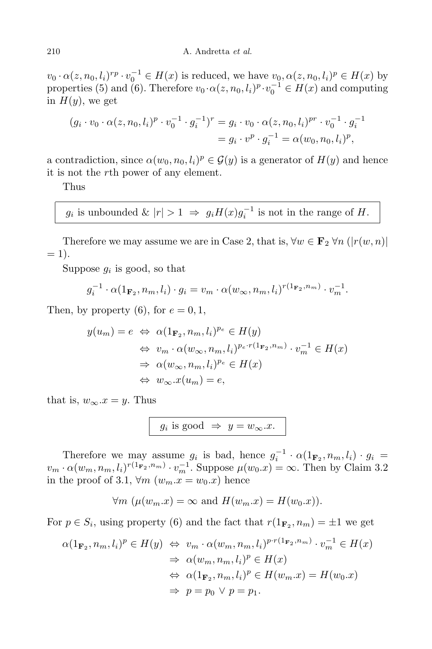$v_0 \cdot \alpha(z, n_0, l_i)^{rp} \cdot v_0^{-1} \in H(x)$  is reduced, we have  $v_0, \alpha(z, n_0, l_i)^p \in H(x)$  by properties (5) and (6). Therefore  $v_0 \cdot \alpha(z, n_0, l_i)^p \cdot v_0^{-1} \in H(x)$  and computing in  $H(y)$ , we get

$$
(g_i \cdot v_0 \cdot \alpha(z, n_0, l_i)^p \cdot v_0^{-1} \cdot g_i^{-1})^r = g_i \cdot v_0 \cdot \alpha(z, n_0, l_i)^{pr} \cdot v_0^{-1} \cdot g_i^{-1}
$$
  
=  $g_i \cdot v^p \cdot g_i^{-1} = \alpha(w_0, n_0, l_i)^p$ ,

a contradiction, since  $\alpha(w_0, n_0, l_i)^p \in \mathcal{G}(y)$  is a generator of  $H(y)$  and hence it is not the *r*th power of any element.

Thus

$$
g_i
$$
 is unbounded  $\& |r| > 1 \Rightarrow g_i H(x) g_i^{-1}$  is not in the range of  $H$ .

Therefore we may assume we are in Case 2, that is,  $\forall w \in \mathbf{F}_2 \forall n \ (|r(w, n)|)$  $= 1$ .

Suppose  $g_i$  is good, so that

$$
g_i^{-1} \cdot \alpha(1_{\mathbf{F}_2}, n_m, l_i) \cdot g_i = v_m \cdot \alpha(w_{\infty}, n_m, l_i)^{r(1_{\mathbf{F}_2}, n_m)} \cdot v_m^{-1}.
$$

Then, by property  $(6)$ , for  $e = 0, 1$ ,

$$
y(u_m) = e \Leftrightarrow \alpha(1_{\mathbf{F}_2}, n_m, l_i)^{p_e} \in H(y)
$$
  
\n
$$
\Leftrightarrow v_m \cdot \alpha(w_{\infty}, n_m, l_i)^{p_e \cdot r(1_{\mathbf{F}_2}, n_m)} \cdot v_m^{-1} \in H(x)
$$
  
\n
$$
\Rightarrow \alpha(w_{\infty}, n_m, l_i)^{p_e} \in H(x)
$$
  
\n
$$
\Leftrightarrow w_{\infty}.x(u_m) = e,
$$

that is,  $w_{\infty} \nvert x = y$ . Thus

$$
g_i \text{ is good } \Rightarrow y = w_{\infty}.x.
$$

Therefore we may assume  $g_i$  is bad, hence  $g_i^{-1} \cdot \alpha(1_{\mathbf{F}_2}, n_m, l_i) \cdot g_i =$  $v_m \cdot \alpha(w_m, n_m, l_i)^{r(1_{\mathbf{F}_2}, n_m)} \cdot v_m^{-1}$ . Suppose  $\mu(w_0.x) = \infty$ . Then by Claim 3.2 in the proof of 3.1,  $\forall m \ (w_m.x = w_0.x)$  hence

$$
\forall m \ (\mu(w_m.x) = \infty \text{ and } H(w_m.x) = H(w_0.x)).
$$

For  $p \in S_i$ , using property (6) and the fact that  $r(1_{\mathbf{F}_2}, n_m) = \pm 1$  we get

$$
\alpha(1_{\mathbf{F}_2}, n_m, l_i)^p \in H(y) \Leftrightarrow v_m \cdot \alpha(w_m, n_m, l_i)^{p \cdot r(1_{\mathbf{F}_2}, n_m)} \cdot v_m^{-1} \in H(x)
$$
  
\n
$$
\Rightarrow \alpha(w_m, n_m, l_i)^p \in H(x)
$$
  
\n
$$
\Leftrightarrow \alpha(1_{\mathbf{F}_2}, n_m, l_i)^p \in H(w_m.x) = H(w_0.x)
$$
  
\n
$$
\Rightarrow p = p_0 \lor p = p_1.
$$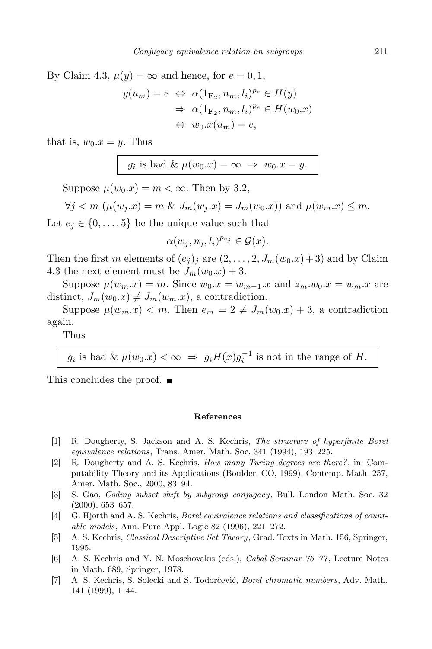By Claim 4.3,  $\mu(y) = \infty$  and hence, for  $e = 0, 1$ ,

$$
y(u_m) = e \Leftrightarrow \alpha(1_{\mathbf{F}_2}, n_m, l_i)^{p_e} \in H(y)
$$

$$
\Rightarrow \alpha(1_{\mathbf{F}_2}, n_m, l_i)^{p_e} \in H(w_0.x)
$$

$$
\Leftrightarrow w_0.x(u_m) = e,
$$

that is,  $w_0 \nvert x = y$ . Thus

$$
g_i
$$
 is bad &  $\mu(w_0.x) = \infty \implies w_0.x = y.$ 

Suppose  $\mu(w_0.x) = m < \infty$ . Then by 3.2,

$$
\forall j < m \ (\mu(w_j.x) = m \ \& \ J_m(w_j.x) = J_m(w_0.x)) \text{ and } \mu(w_m.x) \leq m.
$$

Let  $e_j \in \{0, \ldots, 5\}$  be the unique value such that

$$
\alpha(w_j, n_j, l_i)^{p_{e_j}} \in \mathcal{G}(x).
$$

Then the first *m* elements of  $(e_j)_j$  are  $(2, \ldots, 2, J_m(w_0.x) + 3)$  and by Claim 4.3 the next element must be  $J_m(w_0.x) + 3$ .

Suppose  $\mu(w_m x) = m$ . Since  $w_0 x = w_{m-1} x$  and  $z_m w_0 x = w_m x$  are distinct,  $J_m(w_0.x) \neq J_m(w_m.x)$ , a contradiction.

Suppose  $\mu(w_m.x) < m$ . Then  $e_m = 2 \neq J_m(w_0.x) + 3$ , a contradiction again.

Thus

 $g_i$  is bad &  $\mu(w_0.x) < \infty \Rightarrow g_i H(x) g_i^{-1}$  is not in the range of *H*.

This concludes the proof.

#### **References**

- [1] R. Dougherty, S. Jackson and A. S. Kechris, *The structure of hyperfinite Borel equivalence relations*, Trans. Amer. Math. Soc. 341 (1994), 193–225.
- [2] R. Dougherty and A. S. Kechris, *How many Turing degrees are there?*, in: Computability Theory and its Applications (Boulder, CO, 1999), Contemp. Math. 257, Amer. Math. Soc., 2000, 83–94.
- [3] S. Gao, *Coding subset shift by subgroup conjugacy*, Bull. London Math. Soc. 32 (2000), 653–657.
- [4] G. Hjorth and A. S. Kechris, *Borel equivalence relations and classifications of countable models*, Ann. Pure Appl. Logic 82 (1996), 221–272.
- [5] A. S. Kechris, *Classical Descriptive Set Theory*, Grad. Texts in Math. 156, Springer, 1995.
- [6] A. S. Kechris and Y. N. Moschovakis (eds.), *Cabal Seminar 76–77* , Lecture Notes in Math. 689, Springer, 1978.
- [7] A. S. Kechris, S. Solecki and S. Todorčević, *Borel chromatic numbers*, Adv. Math. 141 (1999), 1–44.